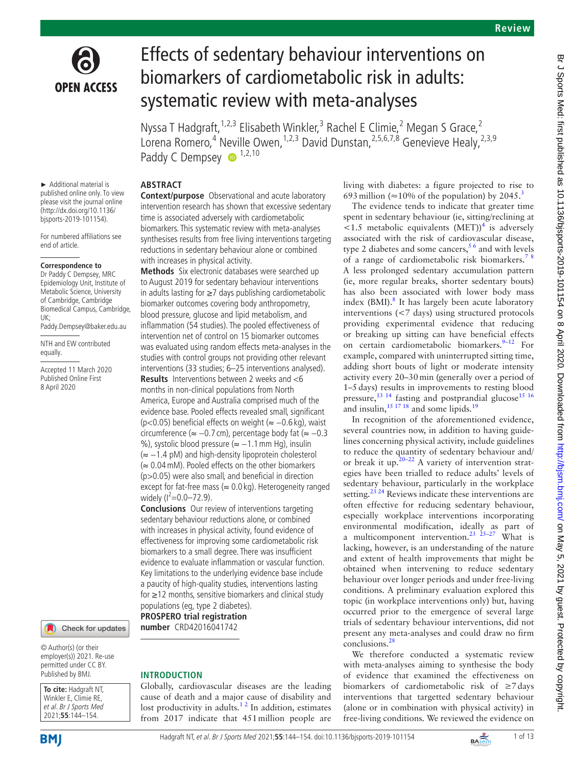

# Effects of sedentary behaviour interventions on biomarkers of cardiometabolic risk in adults: systematic review with meta-analyses

Nyssa T Hadgraft,  $1,2,3$  Elisabeth Winkler, <sup>3</sup> Rachel E Climie, <sup>2</sup> Megan S Grace, 2 Lorena Romero,<sup>4</sup> Neville Owen, <sup>1,2,3</sup> David Dunstan, <sup>2,5,6,7,8</sup> Genevieve Healy, <sup>2,3,9</sup> Paddy C Dempsey  $\bullet$  <sup>1,2,10</sup>

# **Abstract**

► Additional material is published online only. To view please visit the journal online (http://dx.doi.org/10.1136/ bjsports-2019-101154).

For numbered affiliations see end of article.

#### **Correspondence to**

Dr Paddy C Dempsey, MRC Epidemiology Unit, Institute of Metabolic Science, University of Cambridge, Cambridge Biomedical Campus, Cambridge, UK;

Paddy.Dempsey@baker.edu.au

NTH and EW contributed equally.

Accepted 11 March 2020 Published Online First 8 April 2020

Check for updates

© Author(s) (or their employer(s)) 2021. Re-use permitted under CC BY. Published by BMJ.

| To cite: Hadgraft NT,<br>Winkler E, Climie RE, |
|------------------------------------------------|
|                                                |
| et al. Br J Sports Med                         |
| $2021;55:144-154.$                             |

**BMI** 

# **Context/purpose** Observational and acute laboratory intervention research has shown that excessive sedentary time is associated adversely with cardiometabolic biomarkers. This systematic review with meta-analyses synthesises results from free living interventions targeting reductions in sedentary behaviour alone or combined with increases in physical activity.

**Methods** Six electronic databases were searched up to August 2019 for sedentary behaviour interventions in adults lasting for ≥7 days publishing cardiometabolic biomarker outcomes covering body anthropometry, blood pressure, glucose and lipid metabolism, and inflammation (54 studies). The pooled effectiveness of intervention net of control on 15 biomarker outcomes was evaluated using random effects meta-analyses in the studies with control groups not providing other relevant interventions (33 studies; 6–25 interventions analysed). **Results** Interventions between 2 weeks and <6 months in non-clinical populations from North America, Europe and Australia comprised much of the evidence base. Pooled effects revealed small, significant (p<0.05) beneficial effects on weight (≈ −0.6 kg), waist circumference ( $\approx -0.7$  cm), percentage body fat ( $\approx -0.3$ %), systolic blood pressure (≈ -1.1 mm Hg), insulin (≈ −1.4 pM) and high-density lipoprotein cholesterol  $\approx 0.04$  mM). Pooled effects on the other biomarkers (p>0.05) were also small, and beneficial in direction except for fat-free mass ( $\approx 0.0 \text{ kg}$ ). Heterogeneity ranged widely ( $I^2 = 0.0 - 72.9$ ).

**Conclusions** Our review of interventions targeting sedentary behaviour reductions alone, or combined with increases in physical activity, found evidence of effectiveness for improving some cardiometabolic risk biomarkers to a small degree. There was insufficient evidence to evaluate inflammation or vascular function. Key limitations to the underlying evidence base include a paucity of high-quality studies, interventions lasting for ≥12 months, sensitive biomarkers and clinical study populations (eg, type 2 diabetes). **PROSPERO trial registration** 

**number** CRD42016041742

## **Introduction**

Globally, cardiovascular diseases are the leading cause of death and a major cause of disability and lost productivity in adults.<sup>12</sup> In addition, estimates from 2017 indicate that 451million people are

living with diabetes: a figure projected to rise to 69[3](#page-11-1) million ( $\approx$ 10% of the population) by 2045.<sup>3</sup>

The evidence tends to indicate that greater time spent in sedentary behaviour (ie, sitting/reclining at  $\langle 1.5 \rangle$  metabolic equivalents (MET))<sup>[4](#page-11-2)</sup> is adversely associated with the risk of cardiovascular disease, type 2 diabetes and some cancers,  $56$  and with levels of a range of cardiometabolic risk biomarkers.<sup>78</sup> A less prolonged sedentary accumulation pattern (ie, more regular breaks, shorter sedentary bouts) has also been associated with lower body mass index (BMI).<sup>[8](#page-11-5)</sup> It has largely been acute laboratory interventions (<7 days) using structured protocols providing experimental evidence that reducing or breaking up sitting can have beneficial effects on certain cardiometabolic biomarkers. $9-12$  For example, compared with uninterrupted sitting time, adding short bouts of light or moderate intensity activity every 20–30min (generally over a period of 1–5 days) results in improvements to resting blood pressure, $13 \t14$  fasting and postprandial glucose<sup>15 16</sup> pressure,  $\frac{125 \text{ mJ}}{15 \text{ mJ}}$  and some lipids.<sup>[19](#page-11-9)</sup>

In recognition of the aforementioned evidence, several countries now, in addition to having guidelines concerning physical activity, include guidelines to reduce the quantity of sedentary behaviour and/ or break it up.<sup>20–22</sup> A variety of intervention strategies have been trialled to reduce adults' levels of sedentary behaviour, particularly in the workplace setting.<sup>23</sup><sup>24</sup> Reviews indicate these interventions are often effective for reducing sedentary behaviour, especially workplace interventions incorporating environmental modification, ideally as part of a multicomponent intervention.<sup>23</sup>  $25-27$  What is lacking, however, is an understanding of the nature and extent of health improvements that might be obtained when intervening to reduce sedentary behaviour over longer periods and under free-living conditions. A preliminary evaluation explored this topic (in workplace interventions only) but, having occurred prior to the emergence of several large trials of sedentary behaviour interventions, did not present any meta-analyses and could draw no firm conclusions.<sup>[28](#page-11-12)</sup>

We therefore conducted a systematic review with meta-analyses aiming to synthesise the body of evidence that examined the effectiveness on biomarkers of cardiometabolic risk of ≥7 days interventions that targetted sedentary behaviour (alone or in combination with physical activity) in free-living conditions. We reviewed the evidence on

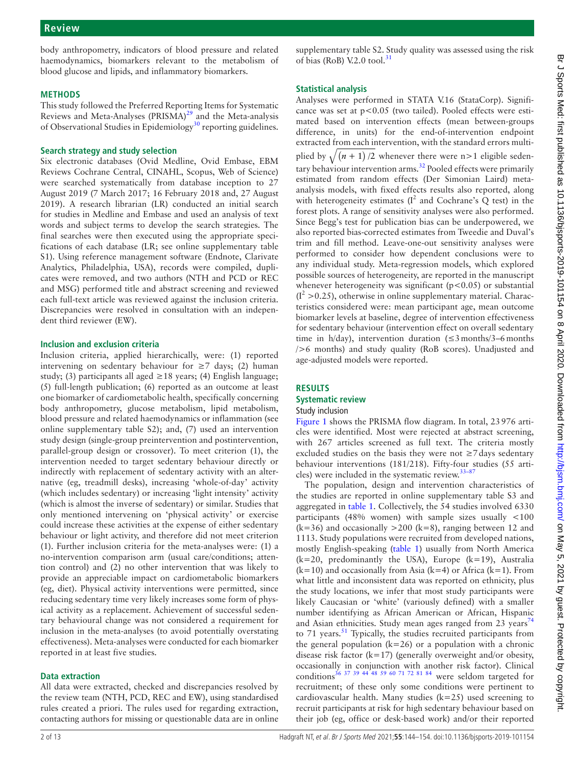body anthropometry, indicators of blood pressure and related haemodynamics, biomarkers relevant to the metabolism of blood glucose and lipids, and inflammatory biomarkers.

# **Methods**

This study followed the Preferred Reporting Items for Systematic Reviews and Meta-Analyses (PRISMA)<sup>29</sup> and the Meta-analysis of Observational Studies in Epidemiology<sup>[30](#page-11-14)</sup> reporting guidelines.

# **Search strategy and study selection**

Six electronic databases (Ovid Medline, Ovid Embase, EBM Reviews Cochrane Central, CINAHL, Scopus, Web of Science) were searched systematically from database inception to 27 August 2019 (7 March 2017; 16 February 2018 and, 27 August 2019). A research librarian (LR) conducted an initial search for studies in Medline and Embase and used an analysis of text words and subject terms to develop the search strategies. The final searches were then executed using the appropriate specifications of each database (LR; see [online supplementary table](https://dx.doi.org/10.1136/bjsports-2019-101154)  [S1\)](https://dx.doi.org/10.1136/bjsports-2019-101154). Using reference management software (Endnote, Clarivate Analytics, Philadelphia, USA), records were compiled, duplicates were removed, and two authors (NTH and PCD or REC and MSG) performed title and abstract screening and reviewed each full-text article was reviewed against the inclusion criteria. Discrepancies were resolved in consultation with an independent third reviewer (EW).

# **Inclusion and exclusion criteria**

Inclusion criteria, applied hierarchically, were: (1) reported intervening on sedentary behaviour for  $\geq$  7 days; (2) human study; (3) participants all aged  $\geq$  18 years; (4) English language; (5) full-length publication; (6) reported as an outcome at least one biomarker of cardiometabolic health, specifically concerning body anthropometry, glucose metabolism, lipid metabolism, blood pressure and related haemodynamics or inflammation (see online [supplementary](https://dx.doi.org/10.1136/bjsports-2019-101154) table S2); and, (7) used an intervention study design (single-group preintervention and postintervention, parallel-group design or crossover). To meet criterion (1), the intervention needed to target sedentary behaviour directly or indirectly with replacement of sedentary activity with an alternative (eg, treadmill desks), increasing 'whole-of-day' activity (which includes sedentary) or increasing 'light intensity' activity (which is almost the inverse of sedentary) or similar. Studies that only mentioned intervening on 'physical activity' or exercise could increase these activities at the expense of either sedentary behaviour or light activity, and therefore did not meet criterion (1). Further inclusion criteria for the meta-analyses were: (1) a no-intervention comparison arm (usual care/conditions; attention control) and (2) no other intervention that was likely to provide an appreciable impact on cardiometabolic biomarkers (eg, diet). Physical activity interventions were permitted, since reducing sedentary time very likely increases some form of physical activity as a replacement. Achievement of successful sedentary behavioural change was not considered a requirement for inclusion in the meta-analyses (to avoid potentially overstating effectiveness). Meta-analyses were conducted for each biomarker reported in at least five studies.

# **Data extraction**

All data were extracted, checked and discrepancies resolved by the review team (NTH, PCD, REC and EW), using standardised rules created a priori. The rules used for regarding extraction, contacting authors for missing or questionable data are in [online](https://dx.doi.org/10.1136/bjsports-2019-101154) 

[supplementary table S2.](https://dx.doi.org/10.1136/bjsports-2019-101154) Study quality was assessed using the risk of bias (RoB) V.2.0 tool.<sup>[31](#page-11-15)</sup>

# **Statistical analysis**

Analyses were performed in STATA V.16 (StataCorp). Significance was set at  $p<0.05$  (two tailed). Pooled effects were estimated based on intervention effects (mean between-groups difference, in units) for the end-of-intervention endpoint extracted from each intervention, with the standard errors multiplied by  $\sqrt{(n+1)/2}$  whenever there were n>1 eligible sedentary behaviour intervention arms.<sup>32</sup> Pooled effects were primarily estimated from random effects (Der Simonian Laird) metaanalysis models, with fixed effects results also reported, along with heterogeneity estimates ( $I^2$  and Cochrane's Q test) in the forest plots. A range of sensitivity analyses were also performed. Since Begg's test for publication bias can be underpowered, we also reported bias-corrected estimates from Tweedie and Duval's trim and fill method. Leave-one-out sensitivity analyses were performed to consider how dependent conclusions were to any individual study. Meta-regression models, which explored possible sources of heterogeneity, are reported in the manuscript whenever heterogeneity was significant  $(p<0.05)$  or substantial  $(I^2 > 0.25)$ , otherwise in online supplementary material. Characteristics considered were: mean participant age, mean outcome biomarker levels at baseline, degree of intervention effectiveness for sedentary behaviour (intervention effect on overall sedentary time in h/day), intervention duration  $(\leq 3 \text{ months}/3 - 6 \text{ months})$ />6 months) and study quality (RoB scores). Unadjusted and age-adjusted models were reported.

# **Results**

# **Systematic review**

# Study inclusion

[Figure](#page-2-0) 1 shows the PRISMA flow diagram. In total, 23976 articles were identified. Most were rejected at abstract screening, with 267 articles screened as full text. The criteria mostly excluded studies on the basis they were not  $\geq$ 7 days sedentary behaviour interventions (181/218). Fifty-four studies (55 articles) were included in the systematic review.[33–87](#page-11-17)

The population, design and intervention characteristics of the studies are reported in [online supplementary table S3](https://dx.doi.org/10.1136/bjsports-2019-101154) and aggregated in [table](#page-3-0) 1. Collectively, the 54 studies involved 6330 participants (48% women) with sample sizes usually <100  $(k=36)$  and occasionally >200 (k=8), ranging between 12 and 1113. Study populations were recruited from developed nations, mostly English-speaking [\(table](#page-3-0) 1) usually from North America (k=20, predominantly the USA), Europe (k=19), Australia  $(k=10)$  and occasionally from Asia  $(k=4)$  or Africa  $(k=1)$ . From what little and inconsistent data was reported on ethnicity, plus the study locations, we infer that most study participants were likely Caucasian or 'white' (variously defined) with a smaller number identifying as African American or African, Hispanic and Asian ethnicities. Study mean ages ranged from 23 years $74$ to 71 years.<sup>[51](#page-11-18)</sup> Typically, the studies recruited participants from the general population  $(k=26)$  or a population with a chronic disease risk factor ( $k=17$ ) (generally overweight and/or obesity, occasionally in conjunction with another risk factor). Clinical conditions<sup>36</sup> <sup>37</sup> <sup>39</sup> <sup>44</sup> <sup>48</sup> <sup>59</sup> <sup>60</sup> <sup>71</sup> <sup>72</sup> <sup>81</sup> <sup>84</sup> were seldom targeted for recruitment; of these only some conditions were pertinent to cardiovascular health. Many studies (k=25) used screening to recruit participants at risk for high sedentary behaviour based on their job (eg, office or desk-based work) and/or their reported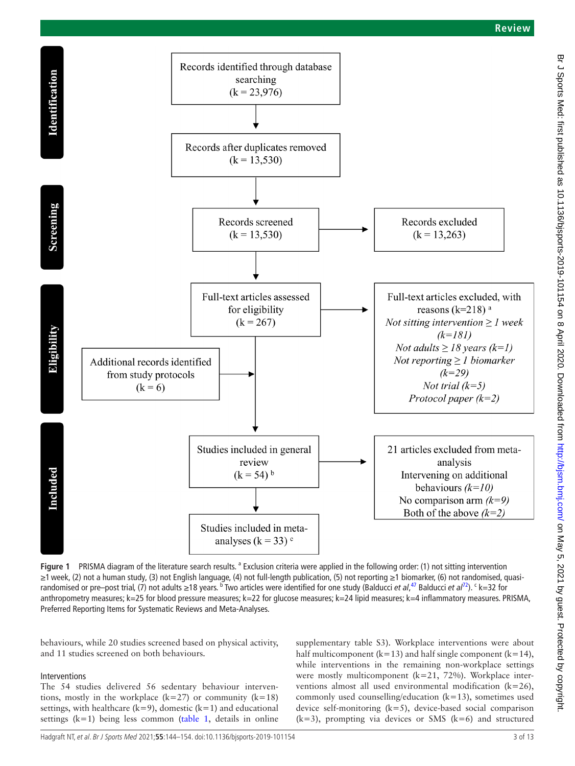

<span id="page-2-0"></span>Figure 1 PRISMA diagram of the literature search results.<sup>a</sup> Exclusion criteria were applied in the following order: (1) not sitting intervention ≥1week, (2) not a human study, (3) not English language, (4) not full-length publication, (5) not reporting ≥1 biomarker, (6) not randomised, quasirandomised or pre–post trial, (7) not adults ≥18 years. <sup>b</sup> Two articles were identified for one study (Balducci *et al*,<sup>47</sup> Balducci *et al*/<sup>2</sup>). <sup>c</sup> k=32 for anthropometry measures; k=25 for blood pressure measures; k=22 for glucose measures; k=24 lipid measures; k=4 inflammatory measures. PRISMA, Preferred Reporting Items for Systematic Reviews and Meta-Analyses.

behaviours, while 20 studies screened based on physical activity, and 11 studies screened on both behaviours.

# Interventions

The 54 studies delivered 56 sedentary behaviour interventions, mostly in the workplace  $(k=27)$  or community  $(k=18)$ settings, with healthcare  $(k=9)$ , domestic  $(k=1)$  and educational settings  $(k=1)$  being less common ([table](#page-3-0) 1, details in online [supplementary](https://dx.doi.org/10.1136/bjsports-2019-101154) table S3). Workplace interventions were about half multicomponent  $(k=13)$  and half single component  $(k=14)$ , while interventions in the remaining non-workplace settings were mostly multicomponent (k=21, 72%). Workplace interventions almost all used environmental modification  $(k=26)$ , commonly used counselling/education  $(k=13)$ , sometimes used device self-monitoring (k=5), device-based social comparison  $(k=3)$ , prompting via devices or SMS  $(k=6)$  and structured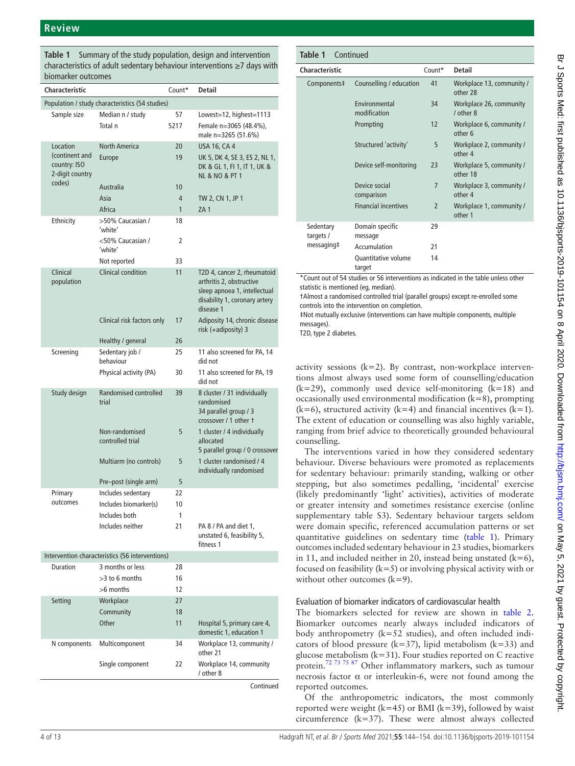<span id="page-3-0"></span>

| Table 1 Summary of the study population, design and intervention              |
|-------------------------------------------------------------------------------|
| characteristics of adult sedentary behaviour interventions $\geq 7$ days with |
| biomarker outcomes                                                            |

| Population / study characteristics (54 studies)<br>Sample size<br>Median n / study<br>57<br>Lowest=12, highest=1113<br>Total n<br>Female n=3065 (48.4%),<br>5217<br>male n=3265 (51.6%)<br><b>North America</b><br>Location<br><b>USA 16, CA 4</b><br>20<br>(continent and<br>19<br>Europe<br>country: ISO<br>DK & GL 1, FI 1, IT 1, UK &<br>2-digit country<br><b>NL &amp; NO &amp; PT 1</b><br>codes)<br>Australia<br>10<br>4<br>Asia<br>TW 2, CN 1, JP 1<br>Africa<br>$\mathbf{1}$<br>ZA <sub>1</sub><br>>50% Caucasian /<br>18<br>Ethnicity<br>'white'<br><50% Caucasian /<br>2<br>'white'<br>33<br>Not reported<br>Clinical<br>Clinical condition<br>11<br>arthritis 2, obstructive<br>population<br>disease 1<br>Clinical risk factors only<br>17<br>risk (+adiposity) 3<br>Healthy / general<br>26<br>Screening<br>Sedentary job /<br>11 also screened for PA, 14<br>25<br>behaviour<br>did not<br>Physical activity (PA)<br>30<br>11 also screened for PA, 19<br>did not<br><b>Randomised controlled</b><br>Study design<br>39<br>8 cluster / 31 individually<br>randomised<br>trial<br>34 parallel group / 3<br>crossover / 1 other t<br>Non-randomised<br>1 cluster / 4 individually<br>5<br>controlled trial<br>allocated<br>Multiarm (no controls)<br>5<br>1 cluster randomised / 4<br>individually randomised<br>5<br>Pre-post (single arm)<br>Includes sedentary<br>22<br>Primary<br>outcomes<br>Includes biomarker(s)<br>10<br>Includes both<br>1<br>Includes neither<br>21<br>PA 8 / PA and diet 1,<br>unstated 6, feasibility 5,<br>fitness 1<br>Intervention characteristics (56 interventions)<br>3 months or less<br>Duration<br>28<br>>3 to 6 months<br>16<br>>6 months<br>12<br>Workplace<br>27<br>Setting<br>Community<br>18<br>Other<br>11<br>Hospital 5, primary care 4,<br>domestic 1, education 1<br>N components<br>Multicomponent<br>34<br>other 21<br>Single component<br>22<br>Workplace 14, community<br>other 8 | Characteristic | Count* | <b>Detail</b>                                                                                |
|--------------------------------------------------------------------------------------------------------------------------------------------------------------------------------------------------------------------------------------------------------------------------------------------------------------------------------------------------------------------------------------------------------------------------------------------------------------------------------------------------------------------------------------------------------------------------------------------------------------------------------------------------------------------------------------------------------------------------------------------------------------------------------------------------------------------------------------------------------------------------------------------------------------------------------------------------------------------------------------------------------------------------------------------------------------------------------------------------------------------------------------------------------------------------------------------------------------------------------------------------------------------------------------------------------------------------------------------------------------------------------------------------------------------------------------------------------------------------------------------------------------------------------------------------------------------------------------------------------------------------------------------------------------------------------------------------------------------------------------------------------------------------------------------------------------------------------------------------------------------------------------------------------------------------------------------------|----------------|--------|----------------------------------------------------------------------------------------------|
|                                                                                                                                                                                                                                                                                                                                                                                                                                                                                                                                                                                                                                                                                                                                                                                                                                                                                                                                                                                                                                                                                                                                                                                                                                                                                                                                                                                                                                                                                                                                                                                                                                                                                                                                                                                                                                                                                                                                                  |                |        |                                                                                              |
|                                                                                                                                                                                                                                                                                                                                                                                                                                                                                                                                                                                                                                                                                                                                                                                                                                                                                                                                                                                                                                                                                                                                                                                                                                                                                                                                                                                                                                                                                                                                                                                                                                                                                                                                                                                                                                                                                                                                                  |                |        |                                                                                              |
|                                                                                                                                                                                                                                                                                                                                                                                                                                                                                                                                                                                                                                                                                                                                                                                                                                                                                                                                                                                                                                                                                                                                                                                                                                                                                                                                                                                                                                                                                                                                                                                                                                                                                                                                                                                                                                                                                                                                                  |                |        |                                                                                              |
|                                                                                                                                                                                                                                                                                                                                                                                                                                                                                                                                                                                                                                                                                                                                                                                                                                                                                                                                                                                                                                                                                                                                                                                                                                                                                                                                                                                                                                                                                                                                                                                                                                                                                                                                                                                                                                                                                                                                                  |                |        |                                                                                              |
|                                                                                                                                                                                                                                                                                                                                                                                                                                                                                                                                                                                                                                                                                                                                                                                                                                                                                                                                                                                                                                                                                                                                                                                                                                                                                                                                                                                                                                                                                                                                                                                                                                                                                                                                                                                                                                                                                                                                                  |                |        | UK 5, DK 4, SE 3, ES 2, NL 1,                                                                |
|                                                                                                                                                                                                                                                                                                                                                                                                                                                                                                                                                                                                                                                                                                                                                                                                                                                                                                                                                                                                                                                                                                                                                                                                                                                                                                                                                                                                                                                                                                                                                                                                                                                                                                                                                                                                                                                                                                                                                  |                |        |                                                                                              |
|                                                                                                                                                                                                                                                                                                                                                                                                                                                                                                                                                                                                                                                                                                                                                                                                                                                                                                                                                                                                                                                                                                                                                                                                                                                                                                                                                                                                                                                                                                                                                                                                                                                                                                                                                                                                                                                                                                                                                  |                |        |                                                                                              |
|                                                                                                                                                                                                                                                                                                                                                                                                                                                                                                                                                                                                                                                                                                                                                                                                                                                                                                                                                                                                                                                                                                                                                                                                                                                                                                                                                                                                                                                                                                                                                                                                                                                                                                                                                                                                                                                                                                                                                  |                |        |                                                                                              |
|                                                                                                                                                                                                                                                                                                                                                                                                                                                                                                                                                                                                                                                                                                                                                                                                                                                                                                                                                                                                                                                                                                                                                                                                                                                                                                                                                                                                                                                                                                                                                                                                                                                                                                                                                                                                                                                                                                                                                  |                |        |                                                                                              |
|                                                                                                                                                                                                                                                                                                                                                                                                                                                                                                                                                                                                                                                                                                                                                                                                                                                                                                                                                                                                                                                                                                                                                                                                                                                                                                                                                                                                                                                                                                                                                                                                                                                                                                                                                                                                                                                                                                                                                  |                |        |                                                                                              |
|                                                                                                                                                                                                                                                                                                                                                                                                                                                                                                                                                                                                                                                                                                                                                                                                                                                                                                                                                                                                                                                                                                                                                                                                                                                                                                                                                                                                                                                                                                                                                                                                                                                                                                                                                                                                                                                                                                                                                  |                |        |                                                                                              |
|                                                                                                                                                                                                                                                                                                                                                                                                                                                                                                                                                                                                                                                                                                                                                                                                                                                                                                                                                                                                                                                                                                                                                                                                                                                                                                                                                                                                                                                                                                                                                                                                                                                                                                                                                                                                                                                                                                                                                  |                |        | T2D 4, cancer 2, rheumatoid<br>sleep apnoea 1, intellectual<br>disability 1, coronary artery |
|                                                                                                                                                                                                                                                                                                                                                                                                                                                                                                                                                                                                                                                                                                                                                                                                                                                                                                                                                                                                                                                                                                                                                                                                                                                                                                                                                                                                                                                                                                                                                                                                                                                                                                                                                                                                                                                                                                                                                  |                |        | Adiposity 14, chronic disease                                                                |
|                                                                                                                                                                                                                                                                                                                                                                                                                                                                                                                                                                                                                                                                                                                                                                                                                                                                                                                                                                                                                                                                                                                                                                                                                                                                                                                                                                                                                                                                                                                                                                                                                                                                                                                                                                                                                                                                                                                                                  |                |        |                                                                                              |
|                                                                                                                                                                                                                                                                                                                                                                                                                                                                                                                                                                                                                                                                                                                                                                                                                                                                                                                                                                                                                                                                                                                                                                                                                                                                                                                                                                                                                                                                                                                                                                                                                                                                                                                                                                                                                                                                                                                                                  |                |        |                                                                                              |
|                                                                                                                                                                                                                                                                                                                                                                                                                                                                                                                                                                                                                                                                                                                                                                                                                                                                                                                                                                                                                                                                                                                                                                                                                                                                                                                                                                                                                                                                                                                                                                                                                                                                                                                                                                                                                                                                                                                                                  |                |        |                                                                                              |
|                                                                                                                                                                                                                                                                                                                                                                                                                                                                                                                                                                                                                                                                                                                                                                                                                                                                                                                                                                                                                                                                                                                                                                                                                                                                                                                                                                                                                                                                                                                                                                                                                                                                                                                                                                                                                                                                                                                                                  |                |        |                                                                                              |
|                                                                                                                                                                                                                                                                                                                                                                                                                                                                                                                                                                                                                                                                                                                                                                                                                                                                                                                                                                                                                                                                                                                                                                                                                                                                                                                                                                                                                                                                                                                                                                                                                                                                                                                                                                                                                                                                                                                                                  |                |        | 5 parallel group / 0 crossover                                                               |
|                                                                                                                                                                                                                                                                                                                                                                                                                                                                                                                                                                                                                                                                                                                                                                                                                                                                                                                                                                                                                                                                                                                                                                                                                                                                                                                                                                                                                                                                                                                                                                                                                                                                                                                                                                                                                                                                                                                                                  |                |        |                                                                                              |
|                                                                                                                                                                                                                                                                                                                                                                                                                                                                                                                                                                                                                                                                                                                                                                                                                                                                                                                                                                                                                                                                                                                                                                                                                                                                                                                                                                                                                                                                                                                                                                                                                                                                                                                                                                                                                                                                                                                                                  |                |        |                                                                                              |
|                                                                                                                                                                                                                                                                                                                                                                                                                                                                                                                                                                                                                                                                                                                                                                                                                                                                                                                                                                                                                                                                                                                                                                                                                                                                                                                                                                                                                                                                                                                                                                                                                                                                                                                                                                                                                                                                                                                                                  |                |        |                                                                                              |
|                                                                                                                                                                                                                                                                                                                                                                                                                                                                                                                                                                                                                                                                                                                                                                                                                                                                                                                                                                                                                                                                                                                                                                                                                                                                                                                                                                                                                                                                                                                                                                                                                                                                                                                                                                                                                                                                                                                                                  |                |        |                                                                                              |
|                                                                                                                                                                                                                                                                                                                                                                                                                                                                                                                                                                                                                                                                                                                                                                                                                                                                                                                                                                                                                                                                                                                                                                                                                                                                                                                                                                                                                                                                                                                                                                                                                                                                                                                                                                                                                                                                                                                                                  |                |        |                                                                                              |
|                                                                                                                                                                                                                                                                                                                                                                                                                                                                                                                                                                                                                                                                                                                                                                                                                                                                                                                                                                                                                                                                                                                                                                                                                                                                                                                                                                                                                                                                                                                                                                                                                                                                                                                                                                                                                                                                                                                                                  |                |        |                                                                                              |
|                                                                                                                                                                                                                                                                                                                                                                                                                                                                                                                                                                                                                                                                                                                                                                                                                                                                                                                                                                                                                                                                                                                                                                                                                                                                                                                                                                                                                                                                                                                                                                                                                                                                                                                                                                                                                                                                                                                                                  |                |        |                                                                                              |
|                                                                                                                                                                                                                                                                                                                                                                                                                                                                                                                                                                                                                                                                                                                                                                                                                                                                                                                                                                                                                                                                                                                                                                                                                                                                                                                                                                                                                                                                                                                                                                                                                                                                                                                                                                                                                                                                                                                                                  |                |        |                                                                                              |
|                                                                                                                                                                                                                                                                                                                                                                                                                                                                                                                                                                                                                                                                                                                                                                                                                                                                                                                                                                                                                                                                                                                                                                                                                                                                                                                                                                                                                                                                                                                                                                                                                                                                                                                                                                                                                                                                                                                                                  |                |        |                                                                                              |
|                                                                                                                                                                                                                                                                                                                                                                                                                                                                                                                                                                                                                                                                                                                                                                                                                                                                                                                                                                                                                                                                                                                                                                                                                                                                                                                                                                                                                                                                                                                                                                                                                                                                                                                                                                                                                                                                                                                                                  |                |        |                                                                                              |
|                                                                                                                                                                                                                                                                                                                                                                                                                                                                                                                                                                                                                                                                                                                                                                                                                                                                                                                                                                                                                                                                                                                                                                                                                                                                                                                                                                                                                                                                                                                                                                                                                                                                                                                                                                                                                                                                                                                                                  |                |        |                                                                                              |
|                                                                                                                                                                                                                                                                                                                                                                                                                                                                                                                                                                                                                                                                                                                                                                                                                                                                                                                                                                                                                                                                                                                                                                                                                                                                                                                                                                                                                                                                                                                                                                                                                                                                                                                                                                                                                                                                                                                                                  |                |        |                                                                                              |
|                                                                                                                                                                                                                                                                                                                                                                                                                                                                                                                                                                                                                                                                                                                                                                                                                                                                                                                                                                                                                                                                                                                                                                                                                                                                                                                                                                                                                                                                                                                                                                                                                                                                                                                                                                                                                                                                                                                                                  |                |        |                                                                                              |
|                                                                                                                                                                                                                                                                                                                                                                                                                                                                                                                                                                                                                                                                                                                                                                                                                                                                                                                                                                                                                                                                                                                                                                                                                                                                                                                                                                                                                                                                                                                                                                                                                                                                                                                                                                                                                                                                                                                                                  |                |        | Workplace 13, community /                                                                    |
|                                                                                                                                                                                                                                                                                                                                                                                                                                                                                                                                                                                                                                                                                                                                                                                                                                                                                                                                                                                                                                                                                                                                                                                                                                                                                                                                                                                                                                                                                                                                                                                                                                                                                                                                                                                                                                                                                                                                                  |                |        |                                                                                              |

Continued

| <b>Table 1</b> Continued |                                      |                |                                       |
|--------------------------|--------------------------------------|----------------|---------------------------------------|
| Characteristic           |                                      | Count*         | <b>Detail</b>                         |
| Components‡              | Counselling / education              | 41             | Workplace 13, community /<br>other 28 |
|                          | <b>Fnvironmental</b><br>modification | 34             | Workplace 26, community<br>/ other 8  |
|                          | Prompting                            | 12             | Workplace 6, community /<br>other 6   |
|                          | Structured 'activity'                | 5              | Workplace 2, community /<br>other 4   |
|                          | Device self-monitoring               | 23             | Workplace 5, community /<br>other 18  |
|                          | Device social<br>comparison          | 7              | Workplace 3, community /<br>other 4   |
|                          | <b>Financial incentives</b>          | $\mathfrak{p}$ | Workplace 1, community /<br>other 1   |
| Sedentary<br>targets /   | Domain specific<br>message           | 29             |                                       |
| messaging‡               | Accumulation                         | 21             |                                       |
|                          | Quantitative volume<br>target        | 14             |                                       |

\*Count out of 54 studies or 56 interventions as indicated in the table unless other statistic is mentioned (eg, median).

†Almost a randomised controlled trial (parallel groups) except re-enrolled some controls into the intervention on completion.

‡Not mutually exclusive (interventions can have multiple components, multiple messages).

T2D, type 2 diabetes.

activity sessions  $(k=2)$ . By contrast, non-workplace interventions almost always used some form of counselling/education  $(k=29)$ , commonly used device self-monitoring  $(k=18)$  and occasionally used environmental modification  $(k=8)$ , prompting  $(k=6)$ , structured activity  $(k=4)$  and financial incentives  $(k=1)$ . The extent of education or counselling was also highly variable, ranging from brief advice to theoretically grounded behavioural counselling.

The interventions varied in how they considered sedentary behaviour. Diverse behaviours were promoted as replacements for sedentary behaviour: primarily standing, walking or other stepping, but also sometimes pedalling, 'incidental' exercise (likely predominantly 'light' activities), activities of moderate or greater intensity and sometimes resistance exercise [\(online](https://dx.doi.org/10.1136/bjsports-2019-101154) [supplementary](https://dx.doi.org/10.1136/bjsports-2019-101154) table S3). Sedentary behaviour targets seldom were domain specific, referenced accumulation patterns or set quantitative guidelines on sedentary time [\(table](#page-3-0) 1). Primary outcomes included sedentary behaviour in 23 studies, biomarkers in 11, and included neither in 20, instead being unstated  $(k=6)$ , focused on feasibility  $(k=5)$  or involving physical activity with or without other outcomes  $(k=9)$ .

## Evaluation of biomarker indicators of cardiovascular health

The biomarkers selected for review are shown in [table](#page-4-0) 2. Biomarker outcomes nearly always included indicators of body anthropometry (k=52 studies), and often included indicators of blood pressure ( $k=37$ ), lipid metabolism ( $k=33$ ) and glucose metabolism  $(k=31)$ . Four studies reported on C reactive protein.[72 73 75 87](#page-12-1) Other inflammatory markers, such as tumour necrosis factor α or interleukin-6, were not found among the reported outcomes.

Of the anthropometric indicators, the most commonly reported were weight ( $k=45$ ) or BMI ( $k=39$ ), followed by waist circumference  $(k=37)$ . These were almost always collected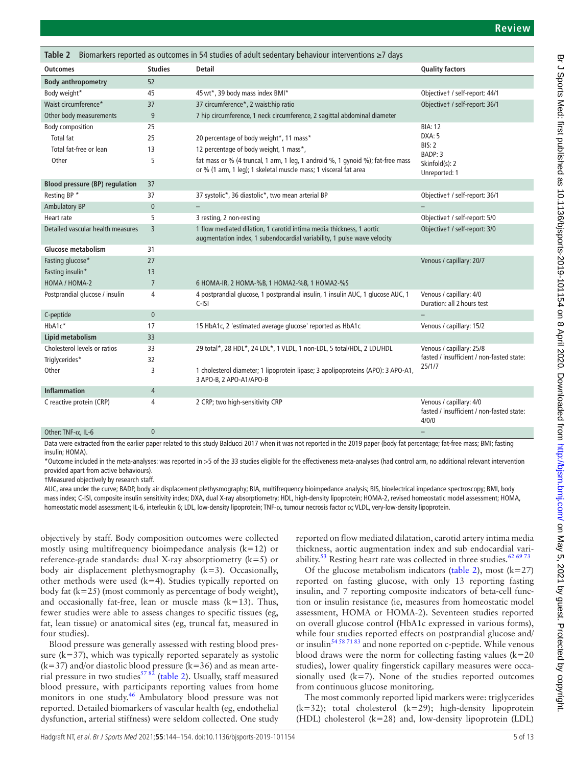<span id="page-4-0"></span>

| Biomarkers reported as outcomes in 54 studies of adult sedentary behaviour interventions $\geq 7$ days<br>Table 2 |                |                                                                                                                                                     |                                                                               |  |  |  |  |  |
|-------------------------------------------------------------------------------------------------------------------|----------------|-----------------------------------------------------------------------------------------------------------------------------------------------------|-------------------------------------------------------------------------------|--|--|--|--|--|
| <b>Outcomes</b>                                                                                                   | <b>Studies</b> | <b>Detail</b>                                                                                                                                       | <b>Quality factors</b>                                                        |  |  |  |  |  |
| <b>Body anthropometry</b>                                                                                         | 52             |                                                                                                                                                     |                                                                               |  |  |  |  |  |
| Body weight*                                                                                                      | 45             | 45 wt*, 39 body mass index BMI*                                                                                                                     | Objectivet / self-report: 44/1                                                |  |  |  |  |  |
| Waist circumference*                                                                                              | 37             | 37 circumference*, 2 waist:hip ratio                                                                                                                | Objectivet / self-report: 36/1                                                |  |  |  |  |  |
| Other body measurements                                                                                           | 9              | 7 hip circumference, 1 neck circumference, 2 sagittal abdominal diameter                                                                            |                                                                               |  |  |  |  |  |
| Body composition                                                                                                  | 25             |                                                                                                                                                     | <b>BIA: 12</b>                                                                |  |  |  |  |  |
| Total fat                                                                                                         | 25             | 20 percentage of body weight*, 11 mass*                                                                                                             | DXA: 5                                                                        |  |  |  |  |  |
| Total fat-free or lean                                                                                            | 13             | 12 percentage of body weight, 1 mass*,                                                                                                              | BIS: 2<br>BADP: 3                                                             |  |  |  |  |  |
| Other                                                                                                             | 5              | fat mass or % (4 truncal, 1 arm, 1 leg, 1 android %, 1 gynoid %); fat-free mass<br>or % (1 arm, 1 leg); 1 skeletal muscle mass; 1 visceral fat area | Skinfold(s): 2<br>Unreported: 1                                               |  |  |  |  |  |
| <b>Blood pressure (BP) regulation</b>                                                                             | 37             |                                                                                                                                                     |                                                                               |  |  |  |  |  |
| Resting BP*                                                                                                       | 37             | 37 systolic*, 36 diastolic*, two mean arterial BP                                                                                                   | Objectivet / self-report: 36/1                                                |  |  |  |  |  |
| <b>Ambulatory BP</b>                                                                                              | $\mathbf{0}$   |                                                                                                                                                     |                                                                               |  |  |  |  |  |
| Heart rate                                                                                                        | 5              | 3 resting, 2 non-resting                                                                                                                            | Objectivet / self-report: 5/0                                                 |  |  |  |  |  |
| Detailed vascular health measures                                                                                 | 3              | 1 flow mediated dilation, 1 carotid intima media thickness, 1 aortic<br>augmentation index, 1 subendocardial variability, 1 pulse wave velocity     | Objectivet / self-report: 3/0                                                 |  |  |  |  |  |
| <b>Glucose metabolism</b>                                                                                         | 31             |                                                                                                                                                     |                                                                               |  |  |  |  |  |
| Fasting glucose*                                                                                                  | 27             |                                                                                                                                                     | Venous / capillary: 20/7                                                      |  |  |  |  |  |
| Fasting insulin*                                                                                                  | 13             |                                                                                                                                                     |                                                                               |  |  |  |  |  |
| HOMA / HOMA-2                                                                                                     | $\overline{7}$ | 6 HOMA-IR, 2 HOMA-%B, 1 HOMA2-%B, 1 HOMA2-%S                                                                                                        |                                                                               |  |  |  |  |  |
| Postprandial glucose / insulin                                                                                    | 4              | 4 postprandial glucose, 1 postprandial insulin, 1 insulin AUC, 1 glucose AUC, 1<br>$C$ -ISI                                                         | Venous / capillary: 4/0<br>Duration: all 2 hours test                         |  |  |  |  |  |
| C-peptide                                                                                                         | $\mathbf{0}$   |                                                                                                                                                     |                                                                               |  |  |  |  |  |
| HbA1c*                                                                                                            | 17             | 15 HbA1c, 2 'estimated average glucose' reported as HbA1c                                                                                           | Venous / capillary: 15/2                                                      |  |  |  |  |  |
| Lipid metabolism                                                                                                  | 33             |                                                                                                                                                     |                                                                               |  |  |  |  |  |
| Cholesterol levels or ratios                                                                                      | 33             | 29 total*, 28 HDL*, 24 LDL*, 1 VLDL, 1 non-LDL, 5 total/HDL, 2 LDL/HDL                                                                              | Venous / capillary: 25/8                                                      |  |  |  |  |  |
| Triglycerides*                                                                                                    | 32             |                                                                                                                                                     | fasted / insufficient / non-fasted state:                                     |  |  |  |  |  |
| Other                                                                                                             | 3              | 1 cholesterol diameter; 1 lipoprotein lipase; 3 apolipoproteins (APO): 3 APO-A1,<br>3 APO-B, 2 APO-A1/APO-B                                         | 25/1/7                                                                        |  |  |  |  |  |
| <b>Inflammation</b>                                                                                               | $\overline{4}$ |                                                                                                                                                     |                                                                               |  |  |  |  |  |
| C reactive protein (CRP)                                                                                          | 4              | 2 CRP; two high-sensitivity CRP                                                                                                                     | Venous / capillary: 4/0<br>fasted / insufficient / non-fasted state:<br>4/0/0 |  |  |  |  |  |

Other: TNF-α, IL-6 0 –

Data were extracted from the earlier paper related to this study Balducci 2017 when it was not reported in the 2019 paper (body fat percentage; fat-free mass; BMI; fasting insulin; HOMA).

\*Outcome included in the meta-analyses: was reported in >5 of the 33 studies eligible for the effectiveness meta-analyses (had control arm, no additional relevant intervention provided apart from active behaviours).

†Measured objectively by research staff.

AUC, area under the curve; BADP, body air displacement plethysmography; BIA, multifrequency bioimpedance analysis; BIS, bioelectrical impedance spectroscopy; BMI, body mass index; C-ISI, composite insulin sensitivity index; DXA, dual X-ray absorptiometry; HDL, high-density lipoprotein; HOMA-2, revised homeostatic model assessment; HOMA, homeostatic model assessment; IL-6, interleukin 6; LDL, low-density lipoprotein; TNF-α, tumour necrosis factor α; VLDL, very-low-density lipoprotein.

objectively by staff. Body composition outcomes were collected mostly using multifrequency bioimpedance analysis  $(k=12)$  or reference-grade standards: dual X-ray absorptiometry  $(k=5)$  or body air displacement plethysmography (k=3). Occasionally, other methods were used (k=4). Studies typically reported on body fat (k=25) (most commonly as percentage of body weight), and occasionally fat-free, lean or muscle mass  $(k=13)$ . Thus, fewer studies were able to assess changes to specific tissues (eg, fat, lean tissue) or anatomical sites (eg, truncal fat, measured in four studies).

Blood pressure was generally assessed with resting blood pressure  $(k=37)$ , which was typically reported separately as systolic  $(k=37)$  and/or diastolic blood pressure  $(k=36)$  and as mean arte-rial pressure in two studies<sup>57 82</sup> [\(table](#page-4-0) 2). Usually, staff measured blood pressure, with participants reporting values from home monitors in one study.<sup>46</sup> Ambulatory blood pressure was not reported. Detailed biomarkers of vascular health (eg, endothelial dysfunction, arterial stiffness) were seldom collected. One study

reported on flow mediated dilatation, carotid artery intima media thickness, aortic augmentation index and sub endocardial variability.<sup>53</sup> Resting heart rate was collected in three studies.<sup>62 69 73</sup>

Of the glucose metabolism indicators ([table](#page-4-0) 2), most  $(k=27)$ reported on fasting glucose, with only 13 reporting fasting insulin, and 7 reporting composite indicators of beta-cell function or insulin resistance (ie, measures from homeostatic model assessment, HOMA or HOMA-2). Seventeen studies reported on overall glucose control (HbA1c expressed in various forms), while four studies reported effects on postprandial glucose and/ or insulin<sup>54 58 71 83</sup> and none reported on c-peptide. While venous blood draws were the norm for collecting fasting values  $(k=20)$ studies), lower quality fingerstick capillary measures were occasionally used  $(k=7)$ . None of the studies reported outcomes from continuous glucose monitoring.

The most commonly reported lipid markers were: triglycerides (k=32); total cholesterol (k=29); high-density lipoprotein (HDL) cholesterol (k=28) and, low-density lipoprotein (LDL)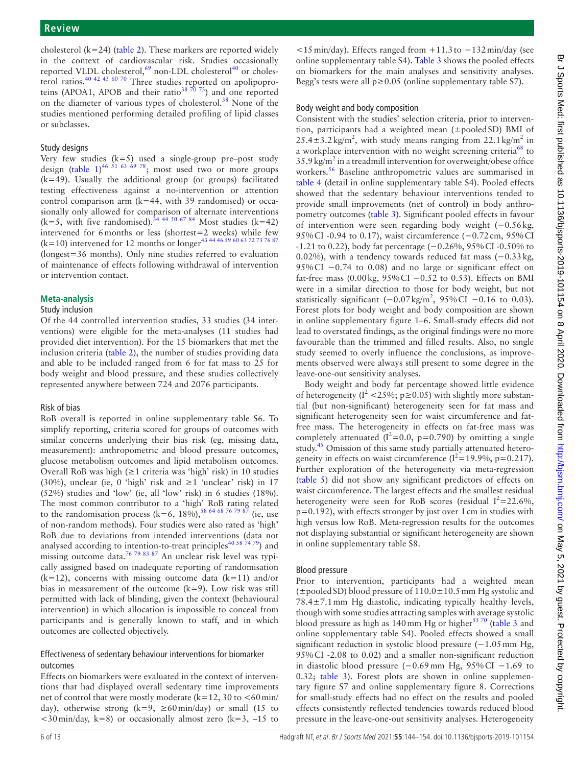cholesterol ( $k=24$ ) ([table](#page-4-0) 2). These markers are reported widely in the context of cardiovascular risk. Studies occasionally reported VLDL cholesterol,<sup>69</sup> non-LDL cholesterol<sup>40</sup> or cholesterol ratios.[40 42 43 60 70](#page-11-22) Three studies reported on apolipoproteins (APOA1, APOB and their ratio<sup>38 70</sup>  $^{73}$ ) and one reported on the diameter of various types of cholesterol.<sup>38</sup> None of the studies mentioned performing detailed profiling of lipid classes or subclasses.

## Study designs

Very few studies (k=5) used a single-group pre–post study design [\(table](#page-3-0)  $1$ )<sup>[46 51 63 69 78](#page-11-21)</sup>; most used two or more groups (k=49). Usually the additional group (or groups) facilitated testing effectiveness against a no-intervention or attention control comparison arm (k=44, with 39 randomised) or occasionally only allowed for comparison of alternate interventions  $(k=5, \text{ with five randomized)}$ .<sup>[34 44 50 67 84](#page-11-24)</sup> Most studies (k=42) intervened for 6 months or less (shortest=2 weeks) while few  $(k=10)$  intervened for 12 months or longer<sup>[43 44 46 59 60 63 72 73 76 87](#page-11-25)</sup> (longest=36 months). Only nine studies referred to evaluation of maintenance of effects following withdrawal of intervention or intervention contact.

## **Meta-analysis**

## Study inclusion

Of the 44 controlled intervention studies, 33 studies (34 interventions) were eligible for the meta-analyses (11 studies had provided diet intervention). For the 15 biomarkers that met the inclusion criteria [\(table](#page-4-0) 2), the number of studies providing data and able to be included ranged from 6 for fat mass to 25 for body weight and blood pressure, and these studies collectively represented anywhere between 724 and 2076 participants.

## Risk of bias

RoB overall is reported in [online supplementary table S6](https://dx.doi.org/10.1136/bjsports-2019-101154). To simplify reporting, criteria scored for groups of outcomes with similar concerns underlying their bias risk (eg, missing data, measurement): anthropometric and blood pressure outcomes, glucose metabolism outcomes and lipid metabolism outcomes. Overall RoB was high (≥1 criteria was 'high' risk) in 10 studies (30%), unclear (ie, 0 'high' risk and  $\geq 1$  'unclear' risk) in 17 (52%) studies and 'low' (ie, all 'low' risk) in 6 studies (18%). The most common contributor to a 'high' RoB rating related to the randomisation process (k=6, 18%),<sup>58 64 68 76 79 87</sup> (ie, use of non-random methods). Four studies were also rated as 'high' RoB due to deviations from intended interventions (data not analysed according to intention-to-treat principles<sup>40 58 74 79</sup>) and missing outcome data.<sup>76 79 83 87</sup> An unclear risk level was typically assigned based on inadequate reporting of randomisation  $(k=12)$ , concerns with missing outcome data  $(k=11)$  and/or bias in measurement of the outcome  $(k=9)$ . Low risk was still permitted with lack of blinding, given the context (behavioural intervention) in which allocation is impossible to conceal from participants and is generally known to staff, and in which outcomes are collected objectively.

# Effectiveness of sedentary behaviour interventions for biomarker outcomes

Effects on biomarkers were evaluated in the context of interventions that had displayed overall sedentary time improvements net of control that were mostly moderate ( $k=12$ , 30 to  $<60$  min/ day), otherwise strong (k=9,  $\geq 60$  min/day) or small (15 to  $\langle 30 \text{min/day}, k=8 \rangle$  or occasionally almost zero (k=3, -15 to

<15 min/day). Effects ranged from +11.3 to −132 min/day (see online [supplementary](https://dx.doi.org/10.1136/bjsports-2019-101154) table S4). [Table](#page-6-0) 3 shows the pooled effects on biomarkers for the main analyses and sensitivity analyses. Begg's tests were all  $p \ge 0.05$  (online [supplementary](https://dx.doi.org/10.1136/bjsports-2019-101154) table S7).

## Body weight and body composition

Consistent with the studies' selection criteria, prior to intervention, participants had a weighted mean (±pooled SD) BMI of  $25.4 \pm 3.2 \text{ kg/m}^2$ , with study means ranging from  $22.1 \text{ kg/m}^2$  in a workplace intervention with no weight screening criteria<sup>[68](#page-12-9)</sup> to  $35.9\,\mathrm{kg/m^2}$  in a treadmill intervention for overweight/obese office workers.[56](#page-12-10) Baseline anthropometric values are summarised in [table](#page-6-1) 4 (detail in online [supplementary](https://dx.doi.org/10.1136/bjsports-2019-101154) table S4). Pooled effects showed that the sedentary behaviour interventions tended to provide small improvements (net of control) in body anthropometry outcomes [\(table](#page-6-0) 3). Significant pooled effects in favour of intervention were seen regarding body weight (−0.56 kg, 95% CI -0.94 to 0.17), waist circumference (−0.72 cm, 95% CI -1.21 to 0.22), body fat percentage (−0.26%, 95% CI -0.50% to 0.02%), with a tendency towards reduced fat mass (−0.33 kg, 95% CI −0.74 to 0.08) and no large or significant effect on fat-free mass  $(0.00\,\text{kg},\,95\%\,\text{CI}-0.52$  to 0.53). Effects on BMI were in a similar direction to those for body weight, but not statistically significant  $(-0.07 \text{ kg/m}^2, 95\% \text{ CI} -0.16$  to 0.03). Forest plots for body weight and body composition are shown in [online supplementary figure 1–6.](https://dx.doi.org/10.1136/bjsports-2019-101154) Small-study effects did not lead to overstated findings, as the original findings were no more favourable than the trimmed and filled results. Also, no single study seemed to overly influence the conclusions, as improvements observed were always still present to some degree in the leave-one-out sensitivity analyses.

Body weight and body fat percentage showed little evidence of heterogeneity ( $I^2$  <25%; p≥0.05) with slightly more substantial (but non-significant) heterogeneity seen for fat mass and significant heterogeneity seen for waist circumference and fatfree mass. The heterogeneity in effects on fat-free mass was completely attenuated ( $I^2$ =0.0, p=0.790) by omitting a single study.<sup>[45](#page-11-26)</sup> Omission of this same study partially attenuated heterogeneity in effects on waist circumference  $(I^2=19.9\%, p=0.217)$ . Further exploration of the heterogeneity via meta-regression ([table](#page-7-0) 5) did not show any significant predictors of effects on waist circumference. The largest effects and the smallest residual heterogeneity were seen for RoB scores (residual  $I^2 = 22.6\%$ , p=0.192), with effects stronger by just over 1 cm in studies with high versus low RoB. Meta-regression results for the outcomes not displaying substantial or significant heterogeneity are shown in [online supplementary table S8](https://dx.doi.org/10.1136/bjsports-2019-101154).

## Blood pressure

Prior to intervention, participants had a weighted mean (±pooled SD) blood pressure of 110.0±10.5 mm Hg systolic and 78.4±7.1mm Hg diastolic, indicating typically healthy levels, though with some studies attracting samples with average systolic blood pressure as high as  $140 \text{ mm Hg}$  or higher<sup>55 70</sup> [\(table](#page-6-0) 3 and online [supplementary](https://dx.doi.org/10.1136/bjsports-2019-101154) table S4). Pooled effects showed a small significant reduction in systolic blood pressure (−1.05 mm Hg, 95% CI -2.08 to 0.02) and a smaller non-significant reduction in diastolic blood pressure (−0.69 mm Hg, 95% CI −1.69 to 0.32; [table](#page-6-0) 3). Forest plots are shown in online supplementary figure S7 and [online supplementary figure 8.](https://dx.doi.org/10.1136/bjsports-2019-101154) Corrections for small-study effects had no effect on the results and pooled effects consistently reflected tendencies towards reduced blood pressure in the leave-one-out sensitivity analyses. Heterogeneity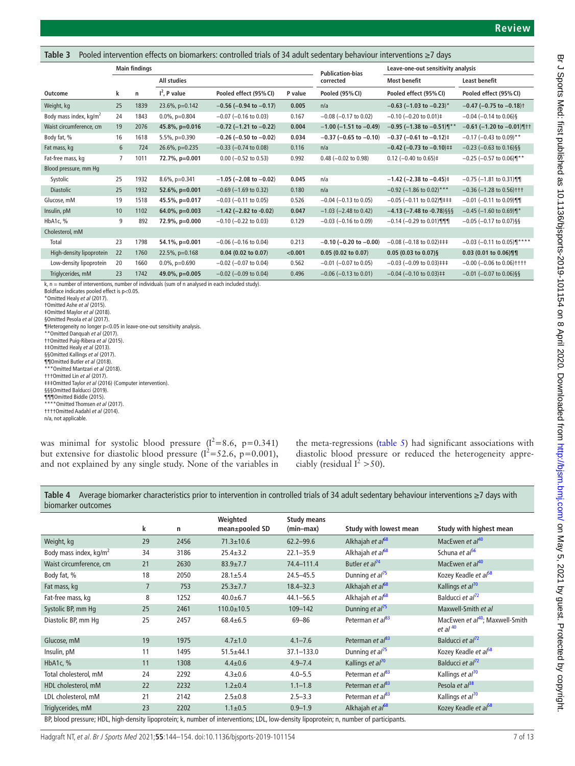<span id="page-6-0"></span>**Table 3** Pooled intervention effects on biomarkers: controlled trials of 34 adult sedentary behaviour interventions ≥7 days

|                                                                                                        |    | <b>Main findings</b> |                    |                                |         | <b>Publication-bias</b>        | Leave-one-out sensitivity analysis    |                                            |  |
|--------------------------------------------------------------------------------------------------------|----|----------------------|--------------------|--------------------------------|---------|--------------------------------|---------------------------------------|--------------------------------------------|--|
|                                                                                                        |    |                      | All studies        |                                |         | corrected                      | <b>Most benefit</b>                   | <b>Least benefit</b>                       |  |
| Outcome                                                                                                | k  | n                    | $I2$ , P value     | Pooled effect (95% CI)         | P value | Pooled (95% CI)                | Pooled effect (95% CI)                | Pooled effect (95% CI)                     |  |
| Weight, kg                                                                                             | 25 | 1839                 | 23.6%, p=0.142     | $-0.56$ ( $-0.94$ to $-0.17$ ) | 0.005   | n/a                            | $-0.63$ (-1.03 to -0.23) <sup>*</sup> | $-0.47$ (-0.75 to $-0.18$ ) <sup>†</sup>   |  |
| Body mass index, kg/m <sup>2</sup>                                                                     | 24 | 1843                 | $0.0\%$ , p=0.804  | $-0.07$ ( $-0.16$ to 0.03)     | 0.167   | $-0.08$ ( $-0.17$ to 0.02)     | $-0.10$ (-0.20 to 0.01)‡              | $-0.04$ ( $-0.14$ to $0.06$ )§             |  |
| Waist circumference, cm                                                                                | 19 | 2076                 | 45.8%, p=0.016     | $-0.72$ (-1.21 to $-0.22$ )    | 0.004   | $-1.00$ ( $-1.51$ to $-0.49$ ) | $-0.95$ (-1.38 to $-0.51$ )¶**        | $-0.61$ (-1.20 to $-0.01$ )¶ <sup>++</sup> |  |
| Body fat, %                                                                                            | 16 | 1618                 | 5.5%, p=0.390      | $-0.26$ (-0.50 to $-0.02$ )    | 0.034   | $-0.37$ (-0.65 to $-0.10$ )    | $-0.37$ (-0.61 to $-0.12$ )‡          | $-0.17$ (-0.43 to 0.09)**                  |  |
| Fat mass, kg                                                                                           | 6  | 724                  | 26.6%, p=0.235     | $-0.33$ ( $-0.74$ to 0.08)     | 0.116   | n/a                            | $-0.42$ (-0.73 to $-0.10$ )##         | $-0.23$ ( $-0.63$ to $0.16$ )§§            |  |
| Fat-free mass, kg                                                                                      | 7  | 1011                 | 72.7%, p=0.001     | $0.00$ (-0.52 to 0.53)         | 0.992   | $0.48$ (-0.02 to 0.98)         | $0.12$ (-0.40 to 0.65)‡               | $-0.25$ (-0.57 to 0.06)¶**                 |  |
| Blood pressure, mm Hg                                                                                  |    |                      |                    |                                |         |                                |                                       |                                            |  |
| Systolic                                                                                               | 25 | 1932                 | $8.6\%$ , p=0.341  | $-1.05$ (-2.08 to -0.02)       | 0.045   | n/a                            | $-1.42$ (-2.38 to -0.45)‡             | $-0.75$ (-1.81 to 0.31)¶¶                  |  |
| <b>Diastolic</b>                                                                                       | 25 | 1932                 | $52.6\%$ , p=0.001 | $-0.69$ ( $-1.69$ to 0.32)     | 0.180   | n/a                            | $-0.92$ (-1.86 to 0.02)***            | $-0.36$ (-1.28 to 0.56) † † †              |  |
| Glucose, mM                                                                                            | 19 | 1518                 | 45.5%, p=0.017     | $-0.03$ ( $-0.11$ to 0.05)     | 0.526   | $-0.04$ ( $-0.13$ to 0.05)     | $-0.05$ (-0.11 to 0.02) 1###          | $-0.01$ (-0.11 to 0.09)¶¶                  |  |
| Insulin, pM                                                                                            | 10 | 1102                 | 64.0%, p=0.003     | $-1.42$ (-2.82 to -0.02)       | 0.047   | $-1.03$ ( $-2.48$ to 0.42)     | $-4.13$ (-7.48 to -0.78)§§§           | $-0.45$ (-1.60 to 0.69)¶*                  |  |
| HbA1c, $%$                                                                                             | 9  | 892                  | 72.9%, p=0.000     | $-0.10$ ( $-0.22$ to 0.03)     | 0.129   | $-0.03$ ( $-0.16$ to 0.09)     | $-0.14$ (-0.29 to 0.01)¶¶¶            | $-0.05$ (-0.17 to 0.07)§§                  |  |
| Cholesterol, mM                                                                                        |    |                      |                    |                                |         |                                |                                       |                                            |  |
| Total                                                                                                  | 23 | 1798                 | 54.1%, p=0.001     | $-0.06$ ( $-0.16$ to 0.04)     | 0.213   | $-0.10$ (-0.20 to $-0.00$ )    | $-0.08$ (-0.18 to 0.02)‡‡‡‡           | $-0.03$ (-0.11 to 0.05)¶****               |  |
| High-density lipoprotein                                                                               | 22 | 1760                 | 22.5%, p=0.168     | $0.04$ (0.02 to 0.07)          | < 0.001 | $0.05(0.02 \text{ to } 0.07)$  | $0.05(0.03 \text{ to } 0.07)\$ §      | 0.03 (0.01 to 0.06)¶¶                      |  |
| Low-density lipoprotein                                                                                | 20 | 1660                 | $0.0\%$ , p=0.690  | $-0.02$ ( $-0.07$ to 0.04)     | 0.562   | $-0.01$ ( $-0.07$ to 0.05)     | $-0.03$ (-0.09 to 0.03)‡‡‡‡           | $-0.00$ (-0.06 to 0.06) † † † †            |  |
| Triglycerides, mM                                                                                      | 23 | 1742                 | 49.0%, p=0.005     | $-0.02$ ( $-0.09$ to 0.04)     | 0.496   | $-0.06$ ( $-0.13$ to 0.01)     | $-0.04$ (-0.10 to 0.03)‡‡             | $-0.01$ (-0.07 to 0.06)§§                  |  |
| $k$ , $n =$ number of interventions, number of individuals (sum of n analysed in each included study). |    |                      |                    |                                |         |                                |                                       |                                            |  |

Boldface indicates pooled effect is p<0.05. \*Omitted Healy *et al* (2017). †Omitted Ashe *et al* (2015). ‡Omitted Maylor *et al* (2018). §Omitted Pesola *et al* (2017). ¶Heterogeneity no longer p<0.05 in leave-one-out sensitivity analysis. \*\*Omitted Danquah *et al* (2017). ††Omitted Puig-Ribera *et al* (2015). ‡‡Omitted Healy *et al* (2013). §§Omitted Kallings *et al* (2017) ¶¶Omitted Butler *et al* (2018). \*\*\*Omitted Mantzari *et al* (2018). †††Omitted Lin *et al* (2017). ‡‡‡Omitted Taylor *et al* (2016) (Computer intervention). §§§Omitted Balducci (2019).

¶¶¶Omitted Biddle (2015). \*\*\*\*Omitted Thomsen *et al* (2017).

††††Omitted Aadahl *et al* (2014).

n/a, not applicable.

was minimal for systolic blood pressure  $(I^2=8.6, p=0.341)$ but extensive for diastolic blood pressure ( $I^2 = 52.6$ , p=0.001), and not explained by any single study. None of the variables in

the meta-regressions ([table](#page-7-0) 5) had significant associations with diastolic blood pressure or reduced the heterogeneity appreciably (residual  $I^2 > 50$ ).

<span id="page-6-1"></span>**Table 4** Average biomarker characteristics prior to intervention in controlled trials of 34 adult sedentary behaviour interventions ≥7 days with biomarker outcomes

|                                                                                                                                         | k              | n    | Weighted<br>mean±pooled SD | <b>Study means</b><br>(min-max) | Study with lowest mean       | Study with highest mean                                        |  |  |  |
|-----------------------------------------------------------------------------------------------------------------------------------------|----------------|------|----------------------------|---------------------------------|------------------------------|----------------------------------------------------------------|--|--|--|
| Weight, kg                                                                                                                              | 29             | 2456 | $71.3 \pm 10.6$            | $62.2 - 99.6$                   | Alkhajah et al <sup>68</sup> | MacEwen et al <sup>40</sup>                                    |  |  |  |
| Body mass index, kg/m <sup>2</sup>                                                                                                      | 34             | 3186 | $25.4 \pm 3.2$             | $22.1 - 35.9$                   | Alkhajah et al <sup>68</sup> | Schuna et al <sup>56</sup>                                     |  |  |  |
| Waist circumference, cm                                                                                                                 | 21             | 2630 | $83.9 \pm 7.7$             | 74.4-111.4                      | Butler et al <sup>74</sup>   | MacEwen et al <sup>40</sup>                                    |  |  |  |
| Body fat, %                                                                                                                             | 18             | 2050 | $28.1 \pm 5.4$             | $24.5 - 45.5$                   | Dunning et al <sup>'5</sup>  | Kozey Keadle et al <sup>58</sup>                               |  |  |  |
| Fat mass, kg                                                                                                                            | $\overline{7}$ | 753  | $25.3 \pm 7.7$             | $18.4 - 32.3$                   | Alkhajah et al <sup>68</sup> | Kallings et al <sup>70</sup>                                   |  |  |  |
| Fat-free mass, kg                                                                                                                       | 8              | 1252 | $40.0 + 6.7$               | $44.1 - 56.5$                   | Alkhajah et al <sup>68</sup> | Balducci et al <sup>72</sup>                                   |  |  |  |
| Systolic BP, mm Hq                                                                                                                      | 25             | 2461 | $110.0 \pm 10.5$           | $109 - 142$                     | Dunning et al <sup>75</sup>  | Maxwell-Smith et al                                            |  |  |  |
| Diastolic BP, mm Hq                                                                                                                     | 25             | 2457 | $68.4 \pm 6.5$             | $69 - 86$                       | Peterman et al <sup>83</sup> | MacEwen et al <sup>40</sup> ; Maxwell-Smith<br>$et$ al $^{40}$ |  |  |  |
| Glucose, mM                                                                                                                             | 19             | 1975 | $4.7 \pm 1.0$              | $4.1 - 7.6$                     | Peterman et $a^{83}$         | Balducci et al <sup>72</sup>                                   |  |  |  |
| Insulin, pM                                                                                                                             | 11             | 1495 | $51.5 + 44.1$              | $37.1 - 133.0$                  | Dunning et al <sup>75</sup>  | Kozey Keadle et al <sup>58</sup>                               |  |  |  |
| HbA1c, %                                                                                                                                | 11             | 1308 | $4.4 \pm 0.6$              | $4.9 - 7.4$                     | Kallings et al <sup>70</sup> | Balducci et al <sup>72</sup>                                   |  |  |  |
| Total cholesterol, mM                                                                                                                   | 24             | 2292 | $4.3 \pm 0.6$              | $4.0 - 5.5$                     | Peterman et al <sup>83</sup> | Kallings et al <sup>70</sup>                                   |  |  |  |
| HDL cholesterol, mM                                                                                                                     | 22             | 2232 | $1.2 \pm 0.4$              | $1.1 - 1.8$                     | Peterman et $a^{83}$         | Pesola et $a^{38}$                                             |  |  |  |
| LDL cholesterol, mM                                                                                                                     | 21             | 2142 | $2.5 \pm 0.8$              | $2.5 - 3.3$                     | Peterman et al <sup>83</sup> | Kallings et al <sup>70</sup>                                   |  |  |  |
| Triglycerides, mM                                                                                                                       | 23             | 2202 | $1.1 \pm 0.5$              | $0.9 - 1.9$                     | Alkhajah et al <sup>68</sup> | Kozey Keadle et al <sup>58</sup>                               |  |  |  |
| BP, blood pressure; HDL, high-density lipoprotein; k, number of interventions; LDL, low-density lipoprotein; n, number of participants. |                |      |                            |                                 |                              |                                                                |  |  |  |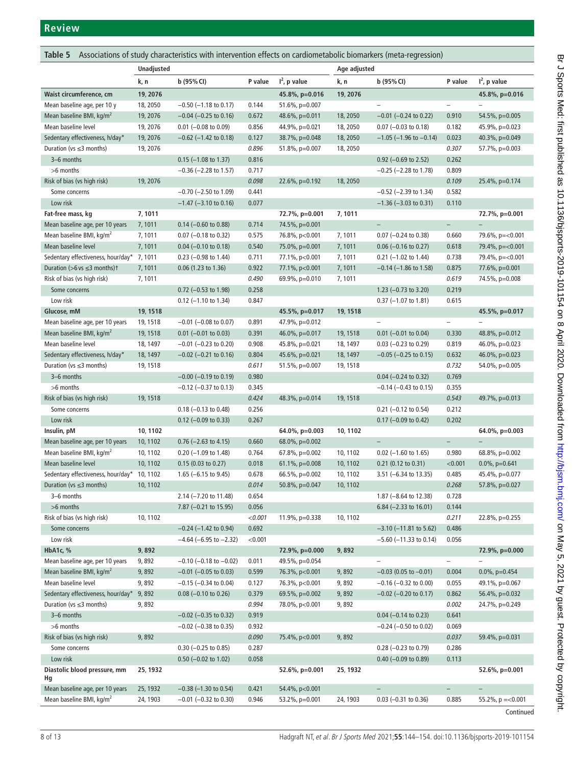<span id="page-7-0"></span>

|                                             | <b>Unadjusted</b> |                                 |         | Age adjusted     |          |                                  |                          |                      |
|---------------------------------------------|-------------------|---------------------------------|---------|------------------|----------|----------------------------------|--------------------------|----------------------|
|                                             | k, n              | b(95% CI)                       | P value | $I^2$ , p value  | k, n     | b (95% CI)                       | P value                  | $I^2$ , p value      |
| Waist circumference, cm                     | 19, 2076          |                                 |         | 45.8%, p=0.016   | 19, 2076 |                                  |                          | 45.8%, p=0.016       |
| Mean baseline age, per 10 y                 | 18, 2050          | $-0.50$ ( $-1.18$ to 0.17)      | 0.144   | 51.6%, p=0.007   |          | $\qquad \qquad -$                | $\overline{\phantom{a}}$ |                      |
| Mean baseline BMI, kg/m <sup>2</sup>        | 19, 2076          | $-0.04$ ( $-0.25$ to 0.16)      | 0.672   | 48.6%, p=0.011   | 18, 2050 | $-0.01$ ( $-0.24$ to 0.22)       | 0.910                    | 54.5%, p=0.005       |
| Mean baseline level                         | 19, 2076          | $0.01$ (-0.08 to 0.09)          | 0.856   | 44.9%, p=0.021   | 18,2050  | $0.07$ (-0.03 to 0.18)           | 0.182                    | 45.9%, p=0.023       |
| Sedentary effectiveness, h/day*             | 19, 2076          | $-0.62$ ( $-1.42$ to 0.18)      | 0.127   | 38.7%, p=0.048   | 18, 2050 | $-1.05$ (-1.96 to $-0.14$ )      | 0.023                    | 40.3%, p=0.049       |
| Duration ( $vs \leq 3$ months)              | 19, 2076          |                                 | 0.896   | 51.8%, p=0.007   | 18, 2050 |                                  | 0.307                    | 57.7%, p=0.003       |
| 3-6 months                                  |                   | $0.15$ (-1.08 to 1.37)          | 0.816   |                  |          | $0.92$ (-0.69 to 2.52)           | 0.262                    |                      |
| >6 months                                   |                   | $-0.36$ ( $-2.28$ to 1.57)      | 0.717   |                  |          | $-0.25$ ( $-2.28$ to 1.78)       | 0.809                    |                      |
| Risk of bias (vs high risk)                 | 19, 2076          |                                 | 0.098   | 22.6%, p=0.192   | 18, 2050 |                                  | 0.109                    | 25.4%, p=0.174       |
| Some concerns                               |                   | $-0.70$ ( $-2.50$ to 1.09)      | 0.441   |                  |          | $-0.52$ ( $-2.39$ to 1.34)       | 0.582                    |                      |
| Low risk                                    |                   | $-1.47$ ( $-3.10$ to 0.16)      | 0.077   |                  |          | $-1.36$ ( $-3.03$ to 0.31)       | 0.110                    |                      |
| Fat-free mass, kg                           | 7,1011            |                                 |         | 72.7%, p=0.001   | 7,1011   |                                  |                          | 72.7%, p=0.001       |
| Mean baseline age, per 10 years             | 7,1011            | $0.14$ (-0.60 to 0.88)          | 0.714   | 74.5%, p=0.001   |          |                                  |                          |                      |
| Mean baseline BMI, $kg/m2$                  | 7,1011            | $0.07$ (-0.18 to 0.32)          | 0.575   | 76.8%, p<0.001   | 7,1011   | $0.07$ (-0.24 to 0.38)           | 0.660                    | 79.6%, p=<0.001      |
| Mean baseline level                         | 7,1011            | $0.04$ (-0.10 to 0.18)          | 0.540   | 75.0%, p=0.001   | 7,1011   | $0.06$ (-0.16 to 0.27)           | 0.618                    | 79.4%, p=<0.001      |
| Sedentary effectiveness, hour/day*          | 7, 1011           | $0.23$ (-0.98 to 1.44)          | 0.711   | 77.1%, p<0.001   | 7,1011   | $0.21$ (-1.02 to 1.44)           | 0.738                    | 79.4%, p=<0.001      |
| Duration ( $>6$ vs $\leq$ 3 months) †       | 7,1011            | $0.06$ (1.23 to 1.36)           | 0.922   | 77.1%, p<0.001   | 7,1011   | $-0.14$ ( $-1.86$ to 1.58)       | 0.875                    | 77.6%, p=0.001       |
| Risk of bias (vs high risk)                 | 7,1011            |                                 | 0.490   | 69.9%, p=0.010   | 7,1011   |                                  | 0.619                    | 74.5%, p=0.008       |
| Some concerns                               |                   | $0.72$ (-0.53 to 1.98)          | 0.258   |                  |          | 1.23 $(-0.73$ to 3.20)           | 0.219                    |                      |
| Low risk                                    |                   | $0.12$ (-1.10 to 1.34)          | 0.847   |                  |          | $0.37$ (-1.07 to 1.81)           | 0.615                    |                      |
| Glucose, mM                                 | 19, 1518          |                                 |         | 45.5%, p=0.017   | 19, 1518 |                                  |                          | 45.5%, p=0.017       |
| Mean baseline age, per 10 years             | 19, 1518          | $-0.01$ ( $-0.08$ to 0.07)      | 0.891   | 47.9%, p=0.012   |          | $\overline{\phantom{m}}$         | $\overline{\phantom{a}}$ |                      |
| Mean baseline BMI, kg/m <sup>2</sup>        | 19, 1518          | $0.01$ (-0.01 to 0.03)          | 0.391   | 46.0%, p=0.017   | 19, 1518 | $0.01$ (-0.01 to 0.04)           | 0.330                    | 48.8%, p=0.012       |
| Mean baseline level                         | 18, 1497          | $-0.01$ ( $-0.23$ to 0.20)      | 0.908   | 45.8%, p=0.021   | 18, 1497 | $0.03$ (-0.23 to 0.29)           | 0.819                    | 46.0%, p=0.023       |
| Sedentary effectiveness, h/day*             | 18, 1497          | $-0.02$ ( $-0.21$ to 0.16)      | 0.804   | 45.6%, p=0.021   | 18, 1497 | $-0.05$ ( $-0.25$ to 0.15)       | 0.632                    | 46.0%, p=0.023       |
| Duration ( $vs \leq 3$ months)              | 19, 1518          |                                 | 0.611   | 51.5%, p=0.007   | 19, 1518 |                                  | 0.732                    | 54.0%, p=0.005       |
| 3-6 months                                  |                   | $-0.00$ ( $-0.19$ to 0.19)      | 0.980   |                  |          | $0.04 (-0.24 \text{ to } 0.32)$  | 0.769                    |                      |
| >6 months                                   |                   | $-0.12$ ( $-0.37$ to 0.13)      | 0.345   |                  |          | $-0.14$ ( $-0.43$ to 0.15)       | 0.355                    |                      |
| Risk of bias (vs high risk)                 | 19, 1518          |                                 | 0.424   | 48.3%, p=0.014   | 19, 1518 |                                  | 0.543                    | 49.7%, p=0.013       |
| Some concerns                               |                   | $0.18 (-0.13)$ to $0.48$ )      | 0.256   |                  |          | $0.21$ (-0.12 to 0.54)           | 0.212                    |                      |
| Low risk                                    |                   | $0.12$ (-0.09 to 0.33)          | 0.267   |                  |          | $0.17$ (-0.09 to 0.42)           | 0.202                    |                      |
| Insulin, pM                                 | 10, 1102          |                                 |         | 64.0%, p=0.003   | 10, 1102 |                                  |                          | 64.0%, p=0.003       |
| Mean baseline age, per 10 years             | 10, 1102          | $0.76$ (-2.63 to 4.15)          | 0.660   | 68.0%, p=0.002   |          | $\overline{\phantom{a}}$         | $\overline{\phantom{a}}$ |                      |
| Mean baseline BMI, kg/m <sup>2</sup>        | 10, 1102          | $0.20$ (-1.09 to 1.48)          | 0.764   | 67.8%, p=0.002   | 10, 1102 | $0.02$ (-1.60 to 1.65)           | 0.980                    | 68.8%, p=0.002       |
| Mean baseline level                         | 10, 1102          | 0.15(0.03 to 0.27)              | 0.018   | 61.1%, $p=0.008$ | 10, 1102 | $0.21$ (0.12 to 0.31)            | < 0.001                  | $0.0\%$ , p=0.641    |
| Sedentary effectiveness, hour/day* 10, 1102 |                   | 1.65 $(-6.15 \text{ to } 9.45)$ | 0.678   | 66.5%, p=0.002   | 10, 1102 | 3.51 (-6.34 to 13.35)            | 0.485                    | 45.4%, p=0.077       |
| Duration ( $vs \leq 3$ months)              | 10, 1102          |                                 | 0.014   | 50.8%, p=0.047   | 10, 1102 |                                  | 0.268                    | 57.8%, p=0.027       |
| 3–6 months                                  |                   | $2.14 (-7.20 to 11.48)$         | 0.654   |                  |          | 1.87 (-8.64 to 12.38)            | 0.728                    |                      |
| >6 months                                   |                   | 7.87 $(-0.21$ to 15.95)         | 0.056   |                  |          | 6.84 $(-2.33 \text{ to } 16.01)$ | 0.144                    |                      |
| Risk of bias (vs high risk)                 | 10, 1102          |                                 | < 0.001 | 11.9%, p=0.338   | 10, 1102 |                                  | 0.211                    | 22.8%, p=0.255       |
| Some concerns                               |                   | $-0.24$ ( $-1.42$ to 0.94)      | 0.692   |                  |          | $-3.10$ ( $-11.81$ to 5.62)      | 0.486                    |                      |
| Low risk                                    |                   | $-4.64$ (-6.95 to $-2.32$ )     | < 0.001 |                  |          | $-5.60$ ( $-11.33$ to 0.14)      | 0.056                    |                      |
| HbA1c, %                                    | 9,892             |                                 |         | 72.9%, p=0.000   | 9,892    |                                  |                          | 72.9%, p=0.000       |
| Mean baseline age, per 10 years             | 9,892             | $-0.10$ ( $-0.18$ to $-0.02$ )  | 0.011   | 49.5%, p=0.054   |          | $\qquad \qquad -$                | $\overline{\phantom{0}}$ |                      |
| Mean baseline BMI, kg/m <sup>2</sup>        | 9,892             | $-0.01$ ( $-0.05$ to 0.03)      | 0.599   | 76.3%, p<0.001   | 9,892    | $-0.03$ (0.05 to $-0.01$ )       | 0.004                    | $0.0\%$ , p=0.454    |
| Mean baseline level                         | 9,892             | $-0.15$ ( $-0.34$ to 0.04)      | 0.127   | 76.3%, p<0.001   | 9,892    | $-0.16$ ( $-0.32$ to 0.00)       | 0.055                    | 49.1%, p=0.067       |
| Sedentary effectiveness, hour/day*          | 9,892             | $0.08$ (-0.10 to 0.26)          | 0.379   | 69.5%, p=0.002   | 9,892    | $-0.02$ ( $-0.20$ to 0.17)       | 0.862                    | 56.4%, p=0.032       |
| Duration ( $vs \leq 3$ months)              | 9,892             |                                 | 0.994   | 78.0%, p<0.001   | 9,892    |                                  | 0.002                    | 24.7%, p=0.249       |
| 3-6 months                                  |                   | $-0.02$ ( $-0.35$ to 0.32)      | 0.919   |                  |          | $0.04 (-0.14 \text{ to } 0.23)$  | 0.641                    |                      |
| >6 months                                   |                   | $-0.02$ ( $-0.38$ to 0.35)      | 0.932   |                  |          | $-0.24$ ( $-0.50$ to 0.02)       | 0.069                    |                      |
| Risk of bias (vs high risk)                 | 9,892             |                                 | 0.090   | 75.4%, p<0.001   | 9,892    |                                  | 0.037                    | 59.4%, p=0.031       |
| Some concerns                               |                   | $0.30$ (-0.25 to 0.85)          | 0.287   |                  |          | $0.28$ (-0.23 to 0.79)           | 0.286                    |                      |
| Low risk                                    |                   | $0.50$ (-0.02 to 1.02)          | 0.058   |                  |          | $0.40$ (-0.09 to 0.89)           | 0.113                    |                      |
| Diastolic blood pressure, mm                | 25, 1932          |                                 |         | 52.6%, p=0.001   | 25, 1932 |                                  |                          | 52.6%, p=0.001       |
| Ηg                                          |                   |                                 |         |                  |          |                                  |                          |                      |
| Mean baseline age, per 10 years             | 25, 1932          | $-0.38$ (-1.30 to 0.54)         | 0.421   | 54.4%, p<0.001   |          | $\overline{\phantom{a}}$         | $\overline{\phantom{a}}$ | $\qquad \qquad -$    |
| Mean baseline BMI, kg/m <sup>2</sup>        | 24, 1903          | $-0.01$ ( $-0.32$ to 0.30)      | 0.946   | 53.2%, p=0.001   | 24, 1903 | $0.03$ (-0.31 to 0.36)           | 0.885                    | 55.2%, $p = < 0.001$ |
|                                             |                   |                                 |         |                  |          |                                  |                          | Continued            |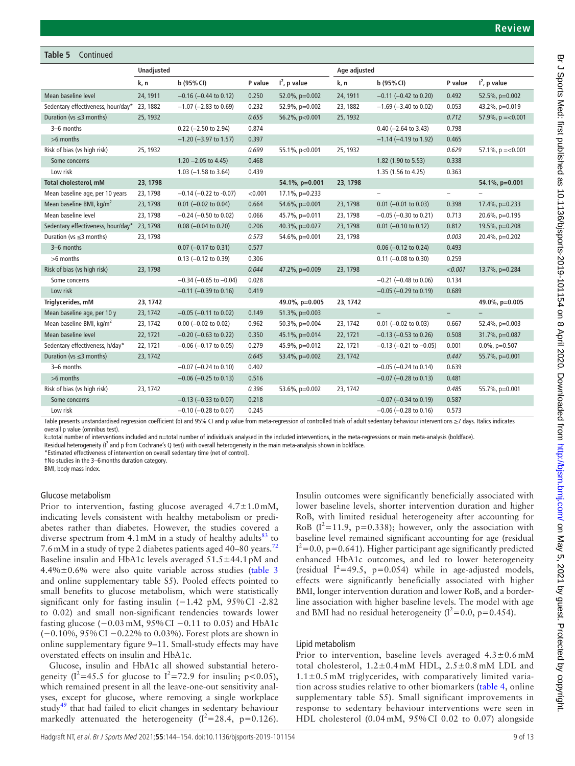## **Table 5** Continued

|                                      | <b>Unadjusted</b> |                                |         |                 | Age adjusted |                                |         |                      |
|--------------------------------------|-------------------|--------------------------------|---------|-----------------|--------------|--------------------------------|---------|----------------------|
|                                      | k, n              | b(95% CI)                      | P value | $I^2$ , p value | k, n         | b(95% CI)                      | P value | $I^2$ , p value      |
| Mean baseline level                  | 24, 1911          | $-0.16$ ( $-0.44$ to 0.12)     | 0.250   | 52.0%, p=0.002  | 24, 1911     | $-0.11$ $(-0.42$ to 0.20)      | 0.492   | 52.5%, p=0.002       |
| Sedentary effectiveness, hour/day*   | 23, 1882          | $-1.07$ ( $-2.83$ to 0.69)     | 0.232   | 52.9%, p=0.002  | 23, 1882     | $-1.69$ ( $-3.40$ to 0.02)     | 0.053   | 43.2%, p=0.019       |
| Duration ( $vs \leq 3$ months)       | 25, 1932          |                                | 0.655   | 56.2%, p<0.001  | 25, 1932     |                                | 0.712   | 57.9%, $p = < 0.001$ |
| 3-6 months                           |                   | $0.22$ (-2.50 to 2.94)         | 0.874   |                 |              | $0.40$ (-2.64 to 3.43)         | 0.798   |                      |
| $>6$ months                          |                   | $-1.20$ ( $-3.97$ to 1.57)     | 0.397   |                 |              | $-1.14$ ( $-4.19$ to 1.92)     | 0.465   |                      |
| Risk of bias (vs high risk)          | 25, 1932          |                                | 0.699   | 55.1%, p<0.001  | 25, 1932     |                                | 0.629   | 57.1%, $p = < 0.001$ |
| Some concerns                        |                   | $1.20 - 2.05$ to 4.45)         | 0.468   |                 |              | 1.82 (1.90 to 5.53)            | 0.338   |                      |
| Low risk                             |                   | $1.03$ (-1.58 to 3.64)         | 0.439   |                 |              | 1.35 (1.56 to 4.25)            | 0.363   |                      |
| <b>Total cholesterol, mM</b>         | 23, 1798          |                                |         | 54.1%, p=0.001  | 23, 1798     |                                |         | 54.1%, p=0.001       |
| Mean baseline age, per 10 years      | 23, 1798          | $-0.14$ ( $-0.22$ to $-0.07$ ) | < 0.001 | 17.1%, p=0.233  |              |                                |         |                      |
| Mean baseline BMI, $kg/m2$           | 23, 1798          | $0.01$ (-0.02 to 0.04)         | 0.664   | 54.6%, p=0.001  | 23, 1798     | $0.01$ (-0.01 to 0.03)         | 0.398   | 17.4%, p=0.233       |
| Mean baseline level                  | 23, 1798          | $-0.24$ ( $-0.50$ to 0.02)     | 0.066   | 45.7%, p=0.011  | 23, 1798     | $-0.05$ ( $-0.30$ to 0.21)     | 0.713   | 20.6%, p=0.195       |
| Sedentary effectiveness, hour/day*   | 23, 1798          | $0.08$ (-0.04 to 0.20)         | 0.206   | 40.3%, p=0.027  | 23, 1798     | $0.01$ (-0.10 to 0.12)         | 0.812   | 19.5%, p=0.208       |
| Duration ( $vs \leq 3$ months)       | 23, 1798          |                                | 0.573   | 54.6%, p=0.001  | 23, 1798     |                                | 0.003   | 20.4%, p=0.202       |
| 3-6 months                           |                   | $0.07$ (-0.17 to 0.31)         | 0.577   |                 |              | $0.06$ (-0.12 to 0.24)         | 0.493   |                      |
| >6 months                            |                   | $0.13$ (-0.12 to 0.39)         | 0.306   |                 |              | $0.11$ (-0.08 to 0.30)         | 0.259   |                      |
| Risk of bias (vs high risk)          | 23, 1798          |                                | 0.044   | 47.2%, p=0.009  | 23, 1798     |                                | < 0.001 | 13.7%, p=0.284       |
| Some concerns                        |                   | $-0.34$ ( $-0.65$ to $-0.04$ ) | 0.028   |                 |              | $-0.21$ ( $-0.48$ to 0.06)     | 0.134   |                      |
| Low risk                             |                   | $-0.11$ ( $-0.39$ to 0.16)     | 0.419   |                 |              | $-0.05$ ( $-0.29$ to 0.19)     | 0.689   |                      |
| Triglycerides, mM                    | 23, 1742          |                                |         | 49.0%, p=0.005  | 23, 1742     |                                |         | 49.0%, p=0.005       |
| Mean baseline age, per 10 y          | 23, 1742          | $-0.05$ ( $-0.11$ to 0.02)     | 0.149   | 51.3%, p=0.003  |              | $\overline{\phantom{0}}$       | $-$     |                      |
| Mean baseline BMI, kg/m <sup>2</sup> | 23, 1742          | $0.00$ (-0.02 to 0.02)         | 0.962   | 50.3%, p=0.004  | 23, 1742     | $0.01$ (-0.02 to 0.03)         | 0.667   | 52.4%, p=0.003       |
| Mean baseline level                  | 22, 1721          | $-0.20$ ( $-0.63$ to 0.22)     | 0.350   | 45.1%, p=0.014  | 22, 1721     | $-0.13$ ( $-0.53$ to 0.26)     | 0.508   | 31.7%, p=0.087       |
| Sedentary effectiveness, h/day*      | 22, 1721          | $-0.06$ ( $-0.17$ to 0.05)     | 0.279   | 45.9%, p=0.012  | 22, 1721     | $-0.13$ ( $-0.21$ to $-0.05$ ) | 0.001   | $0.0\%$ , p=0.507    |
| Duration ( $vs \leq 3$ months)       | 23, 1742          |                                | 0.645   | 53.4%, p=0.002  | 23, 1742     |                                | 0.447   | 55.7%, p=0.001       |
| 3-6 months                           |                   | $-0.07$ (-0.24 to 0.10)        | 0.402   |                 |              | $-0.05$ ( $-0.24$ to 0.14)     | 0.639   |                      |
| $>6$ months                          |                   | $-0.06$ ( $-0.25$ to 0.13)     | 0.516   |                 |              | $-0.07$ ( $-0.28$ to 0.13)     | 0.481   |                      |
| Risk of bias (vs high risk)          | 23, 1742          |                                | 0.396   | 53.6%, p=0.002  | 23, 1742     |                                | 0.485   | 55.7%, p=0.001       |
| Some concerns                        |                   | $-0.13$ ( $-0.33$ to 0.07)     | 0.218   |                 |              | $-0.07$ ( $-0.34$ to 0.19)     | 0.587   |                      |
| Low risk                             |                   | $-0.10$ ( $-0.28$ to 0.07)     | 0.245   |                 |              | $-0.06$ ( $-0.28$ to 0.16)     | 0.573   |                      |

Table presents unstandardised regression coefficient (b) and 95% CI and p value from meta-regression of controlled trials of adult sedentary behaviour interventions ≥7 days. Italics indicates overall p value (omnibus test).

k=total number of interventions included and n=total number of individuals analysed in the included interventions, in the meta-regressions or main meta-analysis (boldface).

Residual heterogeneity (I<sup>2</sup> and p from Cochrane's Q test) with overall heterogeneity in the main meta-analysis shown in boldface.

\*Estimated effectiveness of intervention on overall sedentary time (net of control).

†No studies in the 3–6months duration category.

BMI, body mass index.

#### Glucose metabolism

Prior to intervention, fasting glucose averaged  $4.7 \pm 1.0 \text{ mM}$ , indicating levels consistent with healthy metabolism or prediabetes rather than diabetes. However, the studies covered a diverse spectrum from  $4.1 \text{ mM}$  in a study of healthy adults<sup>83</sup> to 7.6 mM in a study of type 2 diabetes patients aged 40–80 years.<sup>[72](#page-12-1)</sup> Baseline insulin and HbA1c levels averaged  $51.5 \pm 44.1$  pM and 4.4%±0.6% were also quite variable across studies ([table](#page-6-0) 3 and online [supplementary](https://dx.doi.org/10.1136/bjsports-2019-101154) table S5). Pooled effects pointed to small benefits to glucose metabolism, which were statistically significant only for fasting insulin (−1.42 pM, 95%CI -2.82 to 0.02) and small non-significant tendencies towards lower fasting glucose (−0.03 mM, 95% CI −0.11 to 0.05) and HbA1c (−0.10%, 95% CI −0.22% to 0.03%). Forest plots are shown in [online supplementary figure 9–11.](https://dx.doi.org/10.1136/bjsports-2019-101154) Small-study effects may have overstated effects on insulin and HbA1c.

Glucose, insulin and HbA1c all showed substantial heterogeneity ( $I^2$ =45.5 for glucose to  $I^2$ =72.9 for insulin; p<0.05), which remained present in all the leave-one-out sensitivity analyses, except for glucose, where removing a single workplace study $49$  that had failed to elicit changes in sedentary behaviour markedly attenuated the heterogeneity  $(I^2=28.4, p=0.126)$ .

Insulin outcomes were significantly beneficially associated with lower baseline levels, shorter intervention duration and higher RoB, with limited residual heterogeneity after accounting for RoB  $(I^2=11.9, p=0.338)$ ; however, only the association with baseline level remained significant accounting for age (residual  $I^2$ =0.0, p=0.641). Higher participant age significantly predicted enhanced HbA1c outcomes, and led to lower heterogeneity (residual  $I^2$ =49.5, p=0.054) while in age-adjusted models, effects were significantly beneficially associated with higher BMI, longer intervention duration and lower RoB, and a borderline association with higher baseline levels. The model with age and BMI had no residual heterogeneity ( $I^2$ =0.0, p=0.454).

## Lipid metabolism

Prior to intervention, baseline levels averaged  $4.3 \pm 0.6$  mM total cholesterol,  $1.2 \pm 0.4$  mM HDL,  $2.5 \pm 0.8$  mM LDL and  $1.1\pm0.5$  mM triglycerides, with comparatively limited variation across studies relative to other biomarkers ([table](#page-6-1) 4, [online](https://dx.doi.org/10.1136/bjsports-2019-101154) [supplementary](https://dx.doi.org/10.1136/bjsports-2019-101154) table S5). Small significant improvements in response to sedentary behaviour interventions were seen in HDL cholesterol (0.04 mM, 95% CI 0.02 to 0.07) alongside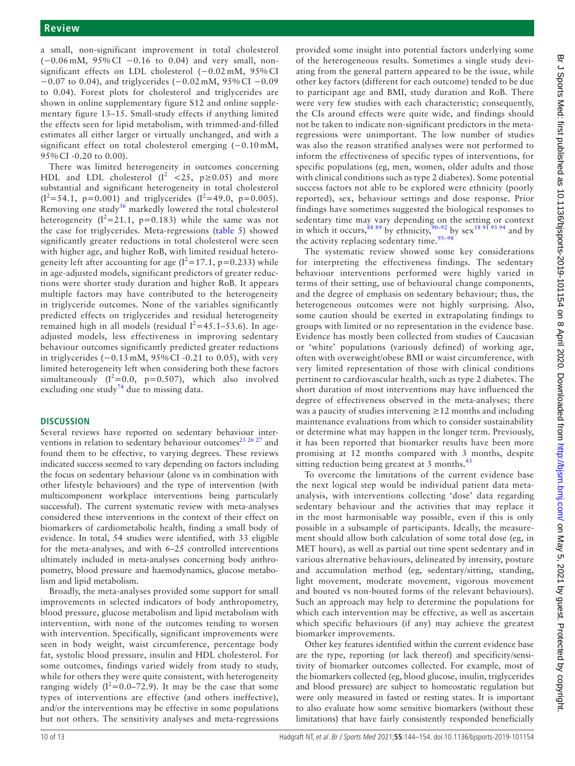a small, non-significant improvement in total cholesterol (−0.06 mM, 95% CI −0.16 to 0.04) and very small, nonsignificant effects on LDL cholesterol (−0.02 mM, 95% CI −0.07 to 0.04), and triglycerides (−0.02 mM, 95% CI −0.09 to 0.04). Forest plots for cholesterol and triglycerides are shown in online supplementary figure S12 and [online supple](https://dx.doi.org/10.1136/bjsports-2019-101154)[mentary figure 13–15.](https://dx.doi.org/10.1136/bjsports-2019-101154) Small-study effects if anything limited the effects seen for lipid metabolism, with trimmed-and-filled estimates all either larger or virtually unchanged, and with a significant effect on total cholesterol emerging (−0.10 mM, 95% CI -0.20 to 0.00).

There was limited heterogeneity in outcomes concerning HDL and LDL cholesterol ( $I^2$  <25, p≥0.05) and more substantial and significant heterogeneity in total cholesterol  $(I^2=54.1, p=0.001)$  and triglycerides  $(I^2=49.0, p=0.005)$ . Removing one study<sup>36</sup> markedly lowered the total cholesterol heterogeneity ( $I^2$ =21.1, p=0.183) while the same was not the case for triglycerides. Meta-regressions ([table](#page-7-0) 5) showed significantly greater reductions in total cholesterol were seen with higher age, and higher RoB, with limited residual heterogeneity left after accounting for age ( $I^2$ =17.1, p=0.233) while in age-adjusted models, significant predictors of greater reductions were shorter study duration and higher RoB. It appears multiple factors may have contributed to the heterogeneity in triglyceride outcomes. None of the variables significantly predicted effects on triglycerides and residual heterogeneity remained high in all models (residual  $I^2 = 45.1 - 53.6$ ). In ageadjusted models, less effectiveness in improving sedentary behaviour outcomes significantly predicted greater reductions in triglycerides (−0.13 mM, 95% CI -0.21 to 0.05), with very limited heterogeneity left when considering both these factors simultaneously  $(I^2=0.0, p=0.507)$ , which also involved excluding one study<sup>[74](#page-12-0)</sup> due to missing data.

# **Discussion**

Several reviews have reported on sedentary behaviour interventions in relation to sedentary behaviour outcomes<sup>23 26 27</sup> and found them to be effective, to varying degrees. These reviews indicated success seemed to vary depending on factors including the focus on sedentary behaviour (alone vs in combination with other lifestyle behaviours) and the type of intervention (with multicomponent workplace interventions being particularly successful). The current systematic review with meta-analyses considered these interventions in the context of their effect on biomarkers of cardiometabolic health, finding a small body of evidence. In total, 54 studies were identified, with 33 eligible for the meta-analyses, and with 6–25 controlled interventions ultimately included in meta-analyses concerning body anthropometry, blood pressure and haemodynamics, glucose metabolism and lipid metabolism.

Broadly, the meta-analyses provided some support for small improvements in selected indicators of body anthropometry, blood pressure, glucose metabolism and lipid metabolism with intervention, with none of the outcomes tending to worsen with intervention. Specifically, significant improvements were seen in body weight, waist circumference, percentage body fat, systolic blood pressure, insulin and HDL cholesterol. For some outcomes, findings varied widely from study to study, while for others they were quite consistent, with heterogeneity ranging widely ( $I^2 = 0.0 - 72.9$ ). It may be the case that some types of interventions are effective (and others ineffective), and/or the interventions may be effective in some populations but not others. The sensitivity analyses and meta-regressions

provided some insight into potential factors underlying some of the heterogeneous results. Sometimes a single study deviating from the general pattern appeared to be the issue, while other key factors (different for each outcome) tended to be due to participant age and BMI, study duration and RoB. There were very few studies with each characteristic; consequently, the CIs around effects were quite wide, and findings should not be taken to indicate non-significant predictors in the metaregressions were unimportant. The low number of studies was also the reason stratified analyses were not performed to inform the effectiveness of specific types of interventions, for specific populations (eg, men, women, older adults and those with clinical conditions such as type 2 diabetes). Some potential success factors not able to be explored were ethnicity (poorly reported), sex, behaviour settings and dose response. Prior findings have sometimes suggested the biological responses to sedentary time may vary depending on the setting or context in which it occurs,  $8889$  by ethnicity,  $90-92$  by sex  $18919394$  and by the activity replacing sedentary time.<sup>95-98</sup>

The systematic review showed some key considerations for interpreting the effectiveness findings. The sedentary behaviour interventions performed were highly varied in terms of their setting, use of behavioural change components, and the degree of emphasis on sedentary behaviour; thus, the heterogeneous outcomes were not highly surprising. Also, some caution should be exerted in extrapolating findings to groups with limited or no representation in the evidence base. Evidence has mostly been collected from studies of Caucasian or 'white' populations (variously defined) of working age, often with overweight/obese BMI or waist circumference, with very limited representation of those with clinical conditions pertinent to cardiovascular health, such as type 2 diabetes. The short duration of most interventions may have influenced the degree of effectiveness observed in the meta-analyses; there was a paucity of studies intervening ≥12 months and including maintenance evaluations from which to consider sustainability or determine what may happen in the longer term. Previously, it has been reported that biomarker results have been more promising at 12 months compared with 3 months, despite sitting reduction being greatest at 3 months.<sup>[43](#page-11-25)</sup>

To overcome the limitations of the current evidence base the next logical step would be individual patient data metaanalysis, with interventions collecting 'dose' data regarding sedentary behaviour and the activities that may replace it in the most harmonisable way possible, even if this is only possible in a subsample of participants. Ideally, the measurement should allow both calculation of some total dose (eg, in MET hours), as well as partial out time spent sedentary and in various alternative behaviours, delineated by intensity, posture and accumulation method (eg, sedentary/sitting, standing, light movement, moderate movement, vigorous movement and bouted vs non-bouted forms of the relevant behaviours). Such an approach may help to determine the populations for which each intervention may be effective, as well as ascertain which specific behaviours (if any) may achieve the greatest biomarker improvements.

Other key features identified within the current evidence base are the type, reporting (or lack thereof) and specificity/sensitivity of biomarker outcomes collected. For example, most of the biomarkers collected (eg, blood glucose, insulin, triglycerides and blood pressure) are subject to homeostatic regulation but were only measured in fasted or resting states. It is important to also evaluate how some sensitive biomarkers (without these limitations) that have fairly consistently responded beneficially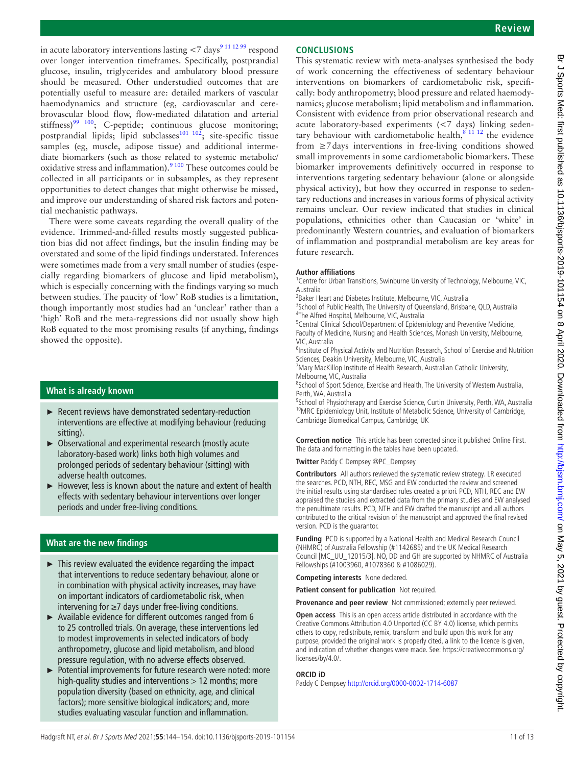in acute laboratory interventions lasting  $\langle 7 \text{ days}^9 \, \text{m} \, \text{11} \, \text{m} \, \text{99} \rangle$  respond over longer intervention timeframes. Specifically, postprandial glucose, insulin, triglycerides and ambulatory blood pressure should be measured. Other understudied outcomes that are potentially useful to measure are: detailed markers of vascular haemodynamics and structure (eg, cardiovascular and cerebrovascular blood flow, flow-mediated dilatation and arterial stiffness) $99 \t 100$ ; C-peptide; continuous glucose monitoring; postprandial lipids; lipid subclasses<sup>[101 102](#page-12-19)</sup>; site-specific tissue samples (eg, muscle, adipose tissue) and additional intermediate biomarkers (such as those related to systemic metabolic/ oxidative stress and inflammation).<sup>[9 100](#page-11-6)</sup> These outcomes could be collected in all participants or in subsamples, as they represent opportunities to detect changes that might otherwise be missed, and improve our understanding of shared risk factors and potential mechanistic pathways.

There were some caveats regarding the overall quality of the evidence. Trimmed-and-filled results mostly suggested publication bias did not affect findings, but the insulin finding may be overstated and some of the lipid findings understated. Inferences were sometimes made from a very small number of studies (especially regarding biomarkers of glucose and lipid metabolism), which is especially concerning with the findings varying so much between studies. The paucity of 'low' RoB studies is a limitation, though importantly most studies had an 'unclear' rather than a 'high' RoB and the meta-regressions did not usually show high RoB equated to the most promising results (if anything, findings showed the opposite).

# **What is already known**

- ► Recent reviews have demonstrated sedentary-reduction interventions are effective at modifying behaviour (reducing sitting).
- ► Observational and experimental research (mostly acute laboratory-based work) links both high volumes and prolonged periods of sedentary behaviour (sitting) with adverse health outcomes.
- ► However, less is known about the nature and extent of health effects with sedentary behaviour interventions over longer periods and under free-living conditions.

# **What are the new findings**

- $\blacktriangleright$  This review evaluated the evidence regarding the impact that interventions to reduce sedentary behaviour, alone or in combination with physical activity increases, may have on important indicators of cardiometabolic risk, when intervening for ≥7 days under free-living conditions.
- ► Available evidence for different outcomes ranged from 6 to 25 controlled trials. On average, these interventions led to modest improvements in selected indicators of body anthropometry, glucose and lipid metabolism, and blood pressure regulation, with no adverse effects observed.
- Potential improvements for future research were noted: more high-quality studies and interventions > 12 months; more population diversity (based on ethnicity, age, and clinical factors); more sensitive biological indicators; and, more studies evaluating vascular function and inflammation.

# **Conclusions**

This systematic review with meta-analyses synthesised the body of work concerning the effectiveness of sedentary behaviour interventions on biomarkers of cardiometabolic risk, specifically: body anthropometry; blood pressure and related haemodynamics; glucose metabolism; lipid metabolism and inflammation. Consistent with evidence from prior observational research and acute laboratory-based experiments (<7 days) linking sedentary behaviour with cardiometabolic health, $\frac{8}{11}$  12 the evidence from ≥7 days interventions in free-living conditions showed small improvements in some cardiometabolic biomarkers. These biomarker improvements definitively occurred in response to interventions targeting sedentary behaviour (alone or alongside physical activity), but how they occurred in response to sedentary reductions and increases in various forms of physical activity remains unclear. Our review indicated that studies in clinical populations, ethnicities other than Caucasian or 'white' in predominantly Western countries, and evaluation of biomarkers of inflammation and postprandial metabolism are key areas for future research.

## **Author affiliations**

<sup>1</sup> Centre for Urban Transitions, Swinburne University of Technology, Melbourne, VIC, Australia

<sup>2</sup> Baker Heart and Diabetes Institute, Melbourne, VIC, Australia

<sup>3</sup>School of Public Health, The University of Queensland, Brisbane, QLD, Australia 4 The Alfred Hospital, Melbourne, VIC, Australia

<sup>5</sup> Central Clinical School/Department of Epidemiology and Preventive Medicine, Faculty of Medicine, Nursing and Health Sciences, Monash University, Melbourne, VIC, Australia

<sup>6</sup>Institute of Physical Activity and Nutrition Research, School of Exercise and Nutrition Sciences, Deakin University, Melbourne, VIC, Australia

<sup>7</sup> Mary MacKillop Institute of Health Research, Australian Catholic University, Melbourne, VIC, Australia

<sup>8</sup>School of Sport Science, Exercise and Health, The University of Western Australia, Perth, WA, Australia

<sup>9</sup>School of Physiotherapy and Exercise Science, Curtin University, Perth, WA, Australia <sup>10</sup>MRC Epidemiology Unit, Institute of Metabolic Science, University of Cambridge, Cambridge Biomedical Campus, Cambridge, UK

**Correction notice** This article has been corrected since it published Online First. The data and formatting in the tables have been updated.

**Twitter** Paddy C Dempsey [@PC\\_Dempsey](https://twitter.com/PC_Dempsey)

**Contributors** All authors reviewed the systematic review strategy. LR executed the searches. PCD, NTH, REC, MSG and EW conducted the review and screened the initial results using standardised rules created a priori. PCD, NTH, REC and EW appraised the studies and extracted data from the primary studies and EW analysed the penultimate results. PCD, NTH and EW drafted the manuscript and all authors contributed to the critical revision of the manuscript and approved the final revised version. PCD is the guarantor.

**Funding** PCD is supported by a National Health and Medical Research Council (NHMRC) of Australia Fellowship (#1142685) and the UK Medical Research Council [MC\_UU\_12015/3]. NO, DD and GH are supported by NHMRC of Australia Fellowships (#1003960, #1078360 & #1086029).

**Competing interests** None declared.

**Patient consent for publication** Not required.

**Provenance and peer review** Not commissioned; externally peer reviewed.

**Open access** This is an open access article distributed in accordance with the Creative Commons Attribution 4.0 Unported (CC BY 4.0) license, which permits others to copy, redistribute, remix, transform and build upon this work for any purpose, provided the original work is properly cited, a link to the licence is given, and indication of whether changes were made. See: [https://creativecommons.org/](https://creativecommons.org/licenses/by/4.0/) [licenses/by/4.0/.](https://creativecommons.org/licenses/by/4.0/)

## **ORCID iD**

Paddy C Dempsey<http://orcid.org/0000-0002-1714-6087>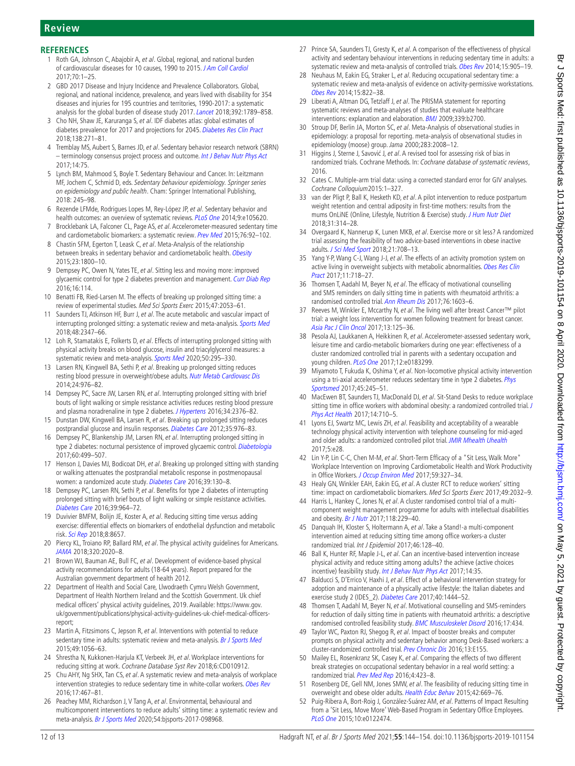# **Review**

- <span id="page-11-0"></span>Roth GA, Johnson C, Abajobir A, et al. Global, regional, and national burden of cardiovascular diseases for 10 causes, 1990 to 2015. [J Am Coll Cardiol](http://dx.doi.org/10.1016/j.jacc.2017.04.052) 2017;70:1–25.
- 2 GBD 2017 Disease and Injury Incidence and Prevalence Collaborators. Global, regional, and national incidence, prevalence, and years lived with disability for 354 diseases and injuries for 195 countries and territories, 1990-2017: a systematic analysis for the global burden of disease study 2017. [Lancet](http://dx.doi.org/10.1016/S0140-6736(18)32279-7) 2018;392:1789–858.
- <span id="page-11-1"></span>3 Cho NH, Shaw JE, Karuranga S, et al. IDF diabetes atlas: global estimates of diabetes prevalence for 2017 and projections for 2045. [Diabetes Res Clin Pract](http://dx.doi.org/10.1016/j.diabres.2018.02.023) 2018;138:271–81.
- <span id="page-11-2"></span>4 Tremblay MS, Aubert S, Barnes JD, et al. Sedentary behavior research network (SBRN)  $-$  terminology consensus project process and outcome. [Int J Behav Nutr Phys Act](http://dx.doi.org/10.1186/s12966-017-0525-8) 2017;14:75.
- <span id="page-11-3"></span>5 Lynch BM, Mahmood S, Boyle T. Sedentary Behaviour and Cancer. In: Leitzmann MF, Jochem C, Schmid D, eds. Sedentary behaviour epidemiology. Springer series on epidemiology and public health. Cham: Springer International Publishing, 2018: 245–98.
- 6 Rezende LFMde, Rodrigues Lopes M, Rey-López JP, et al. Sedentary behavior and health outcomes: an overview of systematic reviews. [PLoS One](http://dx.doi.org/10.1371/journal.pone.0105620) 2014;9:e105620.
- <span id="page-11-4"></span>7 Brocklebank LA, Falconer CL, Page AS, et al. Accelerometer-measured sedentary time and cardiometabolic biomarkers: a systematic review. [Prev Med](http://dx.doi.org/10.1016/j.ypmed.2015.04.013) 2015;76:92-102.
- <span id="page-11-5"></span>8 Chastin SFM, Egerton T, Leask C, et al. Meta-Analysis of the relationship between breaks in sedentary behavior and cardiometabolic health. [Obesity](http://dx.doi.org/10.1002/oby.21180) 2015;23:1800–10.
- <span id="page-11-6"></span>9 Dempsey PC, Owen N, Yates TE, et al. Sitting less and moving more: improved glycaemic control for type 2 diabetes prevention and management. [Curr Diab Rep](http://dx.doi.org/10.1007/s11892-016-0797-4) 2016;16:114.
- 10 Benatti FB, Ried-Larsen M. The effects of breaking up prolonged sitting time: a review of experimental studies. Med Sci Sports Exerc 2015;47:2053–61.
- 11 Saunders TJ, Atkinson HF, Burr J, et al. The acute metabolic and vascular impact of interrupting prolonged sitting: a systematic review and meta-analysis. [Sports Med](http://dx.doi.org/10.1007/s40279-018-0963-8) 2018;48:2347–66.
- 12 Loh R, Stamatakis E, Folkerts D, et al. Effects of interrupting prolonged sitting with physical activity breaks on blood glucose, insulin and triacylglycerol measures: a systematic review and meta-analysis. [Sports Med](http://dx.doi.org/10.1007/s40279-019-01183-w) 2020;50:295-330.
- <span id="page-11-7"></span>13 Larsen RN, Kingwell BA, Sethi P, et al. Breaking up prolonged sitting reduces resting blood pressure in overweight/obese adults. [Nutr Metab Cardiovasc Dis](http://dx.doi.org/10.1016/j.numecd.2014.04.011) 2014;24:976–82.
- 14 Dempsey PC, Sacre JW, Larsen RN, et al. Interrupting prolonged sitting with brief bouts of light walking or simple resistance activities reduces resting blood pressure and plasma noradrenaline in type 2 diabetes. [J Hypertens](http://dx.doi.org/10.1097/HJH.0000000000001101) 2016;34:2376–82.
- <span id="page-11-8"></span>15 Dunstan DW, Kingwell BA, Larsen R, et al. Breaking up prolonged sitting reduces postprandial glucose and insulin responses. [Diabetes Care](http://dx.doi.org/10.2337/dc11-1931) 2012;35:976-83.
- 16 Dempsey PC, Blankenship JM, Larsen RN, et al. Interrupting prolonged sitting in type 2 diabetes: nocturnal persistence of improved glycaemic control. [Diabetologia](http://dx.doi.org/10.1007/s00125-016-4169-z) 2017;60:499–507.
- 17 Henson J, Davies MJ, Bodicoat DH, et al. Breaking up prolonged sitting with standing or walking attenuates the postprandial metabolic response in postmenopausal women: a randomized acute study. [Diabetes Care](http://dx.doi.org/10.2337/dc15-1240) 2016;39:130-8.
- <span id="page-11-28"></span>18 Dempsey PC, Larsen RN, Sethi P, et al. Benefits for type 2 diabetes of interrupting prolonged sitting with brief bouts of light walking or simple resistance activities. [Diabetes Care](http://dx.doi.org/10.2337/dc15-2336) 2016;39:964–72.
- <span id="page-11-9"></span>19 Duvivier BMFM, Bolijn JE, Koster A, et al. Reducing sitting time versus adding exercise: differential effects on biomarkers of endothelial dysfunction and metabolic risk. [Sci Rep](http://dx.doi.org/10.1038/s41598-018-26616-w) 2018;8:8657.
- <span id="page-11-10"></span>20 Piercy KL, Troiano RP, Ballard RM, et al. The physical activity guidelines for Americans. [JAMA](http://dx.doi.org/10.1001/jama.2018.14854) 2018;320:2020–8.
- 21 Brown WJ, Bauman AE, Bull FC, et al. Development of evidence-based physical activity recommendations for adults (18-64 years). Report prepared for the Australian government department of health 2012.
- 22 Department of Health and Social Care, Llwodraeth Cymru Welsh Government, Department of Health Northern Ireland and the Scottish Government. Uk chief medical officers' physical activity guidelines, 2019. Available: [https://www.gov.](https://www.gov.uk/government/publications/physical-activity-guidelines-uk-chief-medical-officers-report;) [uk/government/publications/physical-activity-guidelines-uk-chief-medical-officers](https://www.gov.uk/government/publications/physical-activity-guidelines-uk-chief-medical-officers-report;)[report;](https://www.gov.uk/government/publications/physical-activity-guidelines-uk-chief-medical-officers-report;)
- <span id="page-11-11"></span>23 Martin A, Fitzsimons C, Jepson R, et al. Interventions with potential to reduce sedentary time in adults: systematic review and meta-analysis. [Br J Sports Med](http://dx.doi.org/10.1136/bjsports-2014-094524) 2015;49:1056–63.
- 24 Shrestha N, Kukkonen-Harjula KT, Verbeek JH, et al. Workplace interventions for reducing sitting at work. Cochrane Database Syst Rev 2018;6:CD010912.
- 25 Chu AHY, Ng SHX, Tan CS, et al. A systematic review and meta-analysis of workplace intervention strategies to reduce sedentary time in white-collar workers. [Obes Rev](http://dx.doi.org/10.1111/obr.12388) 2016;17:467–81.
- 26 Peachey MM, Richardson J, V Tang A, et al. Environmental, behavioural and multicomponent interventions to reduce adults' sitting time: a systematic review and meta-analysis. [Br J Sports Med](http://dx.doi.org/10.1136/bjsports-2017-098968) 2020;54:bjsports-2017-098968.
- 27 Prince SA, Saunders TJ, Gresty K, et al. A comparison of the effectiveness of physical activity and sedentary behaviour interventions in reducing sedentary time in adults: a systematic review and meta-analysis of controlled trials. [Obes Rev](http://dx.doi.org/10.1111/obr.12215) 2014;15:905-19.
- <span id="page-11-12"></span>28 Neuhaus M, Eakin EG, Straker L, et al. Reducing occupational sedentary time: a systematic review and meta-analysis of evidence on activity-permissive workstations. [Obes Rev](http://dx.doi.org/10.1111/obr.12201) 2014;15:822–38.
- <span id="page-11-13"></span>29 Liberati A, Altman DG, Tetzlaff J, et al. The PRISMA statement for reporting systematic reviews and meta-analyses of studies that evaluate healthcare interventions: explanation and elaboration. **[BMJ](http://dx.doi.org/10.1136/bmj.b2700)** 2009;339:b2700.
- <span id="page-11-14"></span>Stroup DF, Berlin JA, Morton SC, et al. Meta-Analysis of observational studies in epidemiology: a proposal for reporting. meta-analysis of observational studies in epidemiology (moose) group. Jama 2000;283:2008–12.
- <span id="page-11-15"></span>31 Higgins J, Sterne J, Savović J, et al. A revised tool for assessing risk of bias in randomized trials. Cochrane Methods. In: Cochrane database of systematic reviews, 2016.
- <span id="page-11-16"></span>32 Cates C. Multiple-arm trial data: using a corrected standard error for GIV analyses. Cochrane Colloquium2015:1–327.
- <span id="page-11-17"></span>33 van der Pligt P, Ball K, Hesketh KD, et al. A pilot intervention to reduce postpartum weight retention and central adiposity in first-time mothers: results from the mums OnLiNE (Online, Lifestyle, Nutrition & Exercise) study. [J Hum Nutr Diet](http://dx.doi.org/10.1111/jhn.12521) 2018;31:314–28.
- <span id="page-11-24"></span>34 Overgaard K, Nannerup K, Lunen MKB, et al. Exercise more or sit less? A randomized trial assessing the feasibility of two advice-based interventions in obese inactive adults. [J Sci Med Sport](http://dx.doi.org/10.1016/j.jsams.2017.10.037) 2018;21:708-13.
- 35 Yang Y-P, Wang C-J, Wang J-J, et al. The effects of an activity promotion system on active living in overweight subjects with metabolic abnormalities. Obes Res Clin [Pract](http://dx.doi.org/10.1016/j.orcp.2017.06.002) 2017;11:718–27.
- <span id="page-11-19"></span>36 Thomsen T, Aadahl M, Beyer N, et al. The efficacy of motivational counselling and SMS reminders on daily sitting time in patients with rheumatoid arthritis: a randomised controlled trial. [Ann Rheum Dis](http://dx.doi.org/10.1136/annrheumdis-2016-210953) 2017;76:1603–6.
- 37 Reeves M, Winkler E, Mccarthy N, et al. The living well after breast Cancer™ pilot trial: a weight loss intervention for women following treatment for breast cancer. [Asia Pac J Clin Oncol](http://dx.doi.org/10.1111/ajco.12629) 2017;13:125–36.
- <span id="page-11-23"></span>38 Pesola AJ, Laukkanen A, Heikkinen R, et al. Accelerometer-assessed sedentary work, leisure time and cardio-metabolic biomarkers during one year: effectiveness of a cluster randomized controlled trial in parents with a sedentary occupation and young children. [PLoS One](http://dx.doi.org/10.1371/journal.pone.0183299) 2017;12:e0183299.
- 39 Miyamoto T, Fukuda K, Oshima Y, et al. Non-locomotive physical activity intervention using a tri-axial accelerometer reduces sedentary time in type 2 diabetes. Phys [Sportsmed](http://dx.doi.org/10.1080/00913847.2017.1350084) 2017;45:245–51.
- <span id="page-11-22"></span>40 MacEwen BT, Saunders TJ, MacDonald DJ, et al. Sit-Stand Desks to reduce workplace sitting time in office workers with abdominal obesity: a randomized controlled trial. J [Phys Act Health](http://dx.doi.org/10.1123/jpah.2016-0384) 2017;14:710–5.
- Lyons EJ, Swartz MC, Lewis ZH, et al. Feasibility and acceptability of a wearable technology physical activity intervention with telephone counseling for mid-aged and older adults: a randomized controlled pilot trial. [JMIR Mhealth Uhealth](http://dx.doi.org/10.2196/mhealth.6967) 2017;5:e28.
- 42 Lin Y-P, Lin C-C, Chen M-M, et al. Short-Term Efficacy of a "Sit Less, Walk More" Workplace Intervention on Improving Cardiometabolic Health and Work Productivity in Office Workers. [J Occup Environ Med](http://dx.doi.org/10.1097/JOM.0000000000000955) 2017;59:327-34.
- <span id="page-11-25"></span>43 Healy GN, Winkler EAH, Eakin EG, et al. A cluster RCT to reduce workers' sitting time: impact on cardiometabolic biomarkers. Med Sci Sports Exerc 2017;49:2032-9.
- 44 Harris L, Hankey C, Jones N, et al. A cluster randomised control trial of a multicomponent weight management programme for adults with intellectual disabilities and obesity. [Br J Nutr](http://dx.doi.org/10.1017/S0007114517001933) 2017:118:229-40.
- <span id="page-11-26"></span>45 Danquah IH, Kloster S, Holtermann A, et al. Take a Stand!-a multi-component intervention aimed at reducing sitting time among office workers-a cluster randomized trial. Int J Epidemiol 2017;46:128–40.
- <span id="page-11-21"></span>46 Ball K, Hunter RF, Maple J-L, et al. Can an incentive-based intervention increase physical activity and reduce sitting among adults? the achieve (active choices incentive) feasibility study. [Int J Behav Nutr Phys Act](http://dx.doi.org/10.1186/s12966-017-0490-2) 2017;14:35.
- <span id="page-11-20"></span>47 Balducci S, D'Errico V, Haxhi J, et al. Effect of a behavioral intervention strategy for adoption and maintenance of a physically active lifestyle: the Italian diabetes and exercise study 2 (IDES\_2). [Diabetes Care](http://dx.doi.org/10.2337/dc17-0594) 2017;40:1444-52.
- 48 Thomsen T, Aadahl M, Beyer N, et al. Motivational counselling and SMS-reminders for reduction of daily sitting time in patients with rheumatoid arthritis: a descriptive randomised controlled feasibility study. [BMC Musculoskelet Disord](http://dx.doi.org/10.1186/s12891-016-1266-6) 2016;17:434.
- <span id="page-11-27"></span>49 Taylor WC, Paxton RJ, Shegog R, et al. Impact of booster breaks and computer prompts on physical activity and sedentary behavior among Desk-Based workers: a cluster-randomized controlled trial. [Prev Chronic Dis](http://dx.doi.org/10.5888/pcd13.160231) 2016;13:E155.
- 50 Mailey EL, Rosenkranz SK, Casey K, et al. Comparing the effects of two different break strategies on occupational sedentary behavior in a real world setting: a randomized trial. [Prev Med Rep](http://dx.doi.org/10.1016/j.pmedr.2016.08.010) 2016;4:423-8.
- <span id="page-11-18"></span>51 Rosenberg DE, Gell NM, Jones SMW, et al. The feasibility of reducing sitting time in overweight and obese older adults. [Health Educ Behav](http://dx.doi.org/10.1177/1090198115577378) 2015;42:669-76.
- 52 Puig-Ribera A, Bort-Roig J, González-Suárez AM, et al. Patterns of Impact Resulting from a 'Sit Less, Move More' Web-Based Program in Sedentary Office Employees. [PLoS One](http://dx.doi.org/10.1371/journal.pone.0122474) 2015;10:e0122474.